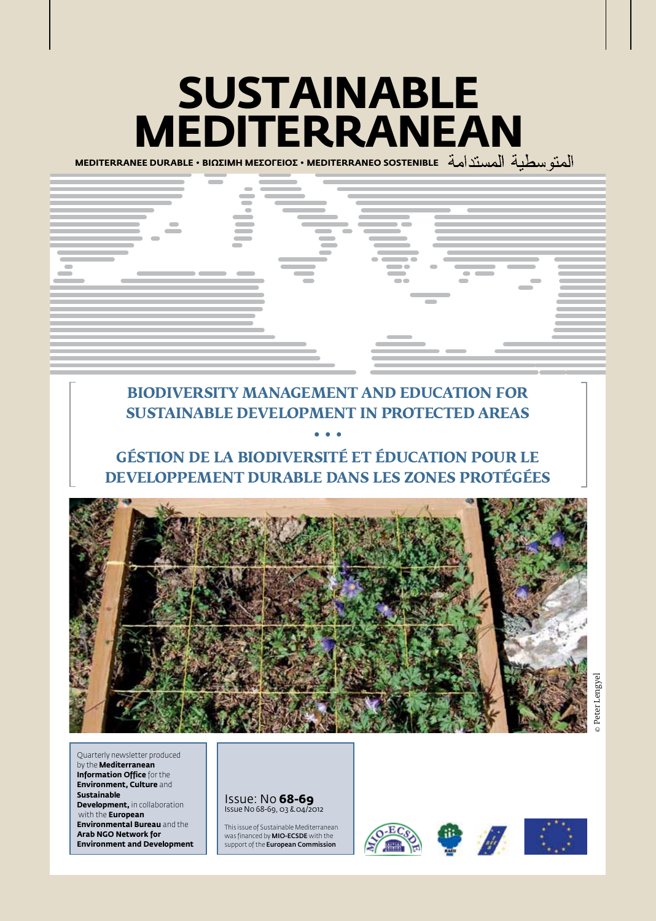# **Sustainable Mediterranean**

**MEDITERRANEE DURABLE • BIΩΣIMH MEΣOΓEIOΣ • MEDITERRANEO SOSTENIBLE** 



# **BIODIVERSITY MANAGEMENT AND EDUCATION FOR SUSTAINABLE DEVELOPMENT IN PROTECTED AREAS**

# **GÉSTION DE LA BIODIVERSITÉ ET ÉDUCATION POUR LE DEVELOPPEMENT DURABLE DANS LES ZONES PROTÉGÉES**

**• • •**



Quarterly newsletter produced by the **Mediterranean Information Office** for the **Environment, Culture** and **Sustainable Development, in collaboration**  with the **European Environmental Bureau** and the **Arab NGO Network for Environment and Development**

#### Issue: No **68-69** Issue No 68-69, 03 & 04/2012

This issue of Sustainable Mediterranean was financed by MIO-ECSDE with the support of the **European Commission** 







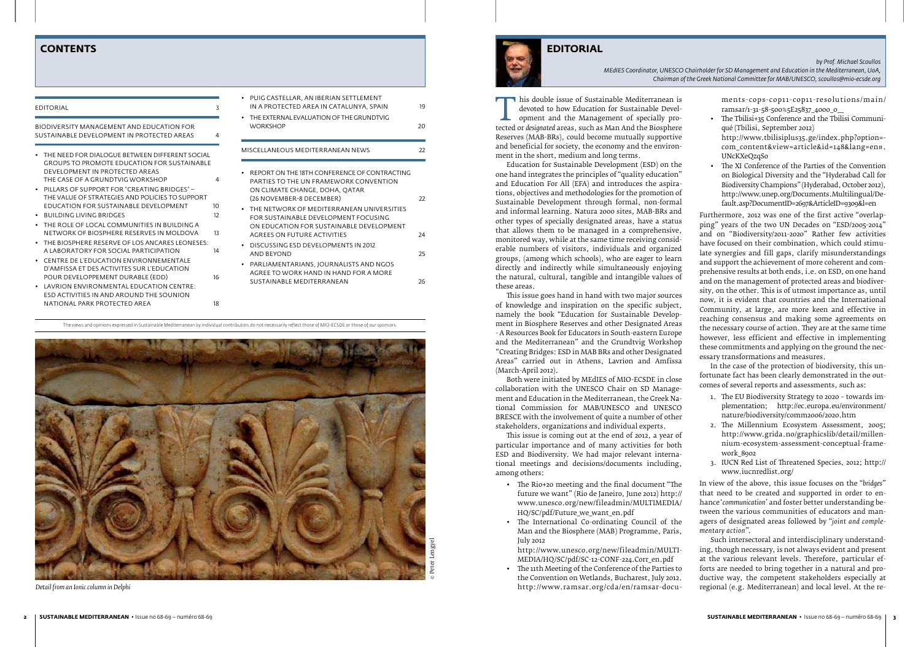T his double issue of Sustainable Mediterranean is<br>
devoted to how Education for Sustainable Devel-<br>
opment and the Management of specially pro-<br>
tected or *designated* areas, such as Man And the Biosphere<br>
Reserves (MAB-B devoted to how Education for Sustainable Development and the Management of specially pro-Reserves (MAB-BRs), could become mutually supportive and beneficial for society, the economy and the environment in the short, medium and long terms.

Education for Sustainable Development (ESD) on the one hand integrates the principles of "quality education" and Education For All (EFA) and introduces the aspirations, objectives and methodologies for the promotion of Sustainable Development through formal, non-formal and informal learning. Natura 2000 sites, MAB-BRs and other types of specially designated areas, have a status that allows them to be managed in a comprehensive, monitored way, while at the same time receiving considerable numbers of visitors, individuals and organized groups, (among which schools), who are eager to learn directly and indirectly while simultaneously enjoying the natural, cultural, tangible and intangible values of these areas.

- The Rio+20 meeting and the final document "The future we want" (Rio de Janeiro, June 2012) http:// www.unesco.org/new/fileadmin/MULTIMEDIA/ HQ/SC/pdf/Future\_we\_want\_en.pdf
- • The International Co-ordinating Council of the Man and the Biosphere (MAB) Programme, Paris, July 2012
- http://www.unesco.org/new/fileadmin/MULTI-MEDIA/HQ/SC/pdf/SC-12-CONF-224.Corr\_en.pdf
- • The 11th Meeting of the Conference of the Parties to the Convention on Wetlands, Bucharest, July 2012. http://www.ramsar.org/cda/en/ramsar-docu-

This issue goes hand in hand with two major sources of knowledge and inspiration on the specific subject, namely the book "Education for Sustainable Development in Biosphere Reserves and other Designated Areas - A Resources Book for Educators in South-eastern Europe and the Mediterranean" and the Grundtvig Workshop "Creating Bridges: ESD in MAB BRs and other Designated Areas" carried out in Athens, Lavrion and Amfissa (March-April 2012).

- The Tbilisi+35 Conference and the Tbilisi Communiqué (Tbilisi, September 2012) http://www.tbilisiplus35.ge/index.php?option= com\_content&view=article&id=148&lang=en#. UNcKXeQzqSo
- The XI Conference of the Parties of the Convention on Biological Diversity and the "Hyderabad Call for Biodiversity Champions" (Hyderabad, October 2012), http://www.unep.org/Documents.Multilingual/Default.asp?DocumentID=2697&ArticleID=9309&l=en

Both were initiated by MEdIES of MIO-ECSDE in close collaboration with the UNESCO Chair on SD Management and Education in the Mediterranean, the Greek National Commission for MAB/UNESCO and UNESCO BRESCE with the involvement of quite a number of other stakeholders, organizations and individual experts.

This issue is coming out at the end of 2012, a year of particular importance and of many activities for both ESD and Biodiversity. We had major relevant international meetings and decisions/documents including, among others:

ments-cops-cop11-cop11-resolutions/main/ ramsar/1-31-58-500%5E25837\_4000\_0\_\_

Furthermore, 2012 was one of the first active "overlapping" years of the two UN Decades on "ESD/2005-2014" and on "Biodiversity/2011-2020" Rather few activities have focused on their combination, which could stimulate synergies and fill gaps, clarify misunderstandings and support the achievement of more coherent and comprehensive results at both ends, i.e. on ESD, on one hand and on the management of protected areas and biodiversity, on the other. This is of utmost importance as, until now, it is evident that countries and the International Community, at large, are more keen and effective in reaching consensus and making some agreements on the necessary course of action. They are at the same time however, less efficient and effective in implementing these commitments and applying on the ground the necessary transformations and measures.

In the case of the protection of biodiversity, this unfortunate fact has been clearly demonstrated in the outcomes of several reports and assessments, such as:

- 1. The EU Biodiversity Strategy to 2020 towards implementation; http://ec.europa.eu/environment/ nature/biodiversity/comm2006/2020.htm
- 2. The Millennium Ecosystem Assessment, 2005; http://www.grida.no/graphicslib/detail/millennium-ecosystem-assessment-conceptual-framework\_8902
- 3. IUCN Red List of Threatened Species, 2012; http:// www.iucnredlist.org/

In view of the above, this issue focuses on the "*bridges*" that need to be created and supported in order to enhance '*communication*' and foster better understanding between the various communities of educators and managers of designated areas followed by "*joint and complementary action*".

Such intersectoral and interdisciplinary understanding, though necessary, is not always evident and present at the various relevant levels. Therefore, particular efforts are needed to bring together in a natural and productive way, the competent stakeholders especially at regional (e.g. Mediterranean) and local level. At the re-

# **CONTENTS EDITORIAL**

| <b>EDITORIAL</b>                                                                                                                                                                                                           | 3              | PUIG CASTELLAR, AN IBERIAN SETTLEMENT<br>$\bullet$<br>IN A PROTECTED AREA IN CATALUNYA. SPAIN<br>THE EXTERNAL EVALUATION OF THE GRUNDTVIG<br>$\bullet$       |
|----------------------------------------------------------------------------------------------------------------------------------------------------------------------------------------------------------------------------|----------------|--------------------------------------------------------------------------------------------------------------------------------------------------------------|
| BIODIVERSITY MANAGEMENT AND EDUCATION FOR<br>SUSTAINABLE DEVELOPMENT IN PROTECTED AREAS                                                                                                                                    | 4              | <b>WORKSHOP</b>                                                                                                                                              |
| THE NEED FOR DIALOGUE BETWEEN DIFFERENT SOCIAL                                                                                                                                                                             |                | MISCELLANEOUS MEDITERRANEAN NEWS                                                                                                                             |
| <b>GROUPS TO PROMOTE EDUCATION FOR SUSTAINABLE</b><br>DEVELOPMENT IN PROTECTED AREAS<br>THE CASE OF A GRUNDTVIG WORKSHOP<br>PILLARS OF SUPPORT FOR "CREATING BRIDGES" -<br>THE VALUE OF STRATEGIES AND POLICIES TO SUPPORT | 4              | REPORT ON THE 18TH CONFERENCE OF CONTRACTING<br>PARTIES TO THE UN FRAMEWORK CONVENTION<br>ON CLIMATE CHANGE, DOHA, OATAR<br>(26 NOVEMBER-8 DECEMBER)         |
| EDUCATION FOR SUSTAINABLE DEVELOPMENT<br>• BUILDING LIVING BRIDGES<br>• THE ROLE OF LOCAL COMMUNITIES IN BUILDING A<br>NETWORK OF BIOSPHERE RESERVES IN MOLDOVA                                                            | 10<br>12<br>13 | THE NETWORK OF MEDITERRANEAN UNIVERSITIES<br>FOR SUSTAINABLE DEVELOPMENT FOCUSING<br>ON EDUCATION FOR SUSTAINABLE DEVELOPMENT<br>AGREES ON FUTURE ACTIVITIES |
| THE BIOSPHERE RESERVE OF LOS ANCARES LEONESES:<br>A LABORATORY FOR SOCIAL PARTICIPATION                                                                                                                                    | 14             | DISCUSSING ESD DEVELOPMENTS IN 2012<br><b>AND BEYOND</b>                                                                                                     |
| CENTRE DE L'EDUCATION ENVIRONNEMENTALE<br>D'AMFISSA ET DES ACTIVITES SUR L'EDUCATION<br>POUR DEVELOPPEMENT DURABLE (EDD)<br>LAVRION ENVIRONMENTAL EDUCATION CENTRE:<br>ESD ACTIVITIES IN AND AROUND THE SOUNION            | 16             | PARLIAMENTARIANS, JOURNALISTS AND NGOS<br>AGREE TO WORK HAND IN HAND FOR A MORE<br><b>SUSTAINABLE MEDITERRANEAN</b>                                          |
| NATIONAL PARK PROTECTED AREA                                                                                                                                                                                               | 18             |                                                                                                                                                              |

*by Prof. Michael Scoullos* 

*MEdIES Coordinator, UNESCO Chairholder for SD Management and Education in the Mediterranean, UoA, Chairman of the Greek National Committee for MAB/UNESCO, scoullos@mio-ecsde.org*



*Detail from an Ionic column in Delphi*

The views and opinions expressed in Sustainable Mediterranean by individual contributors do not necessarily reflect those of MIO-ECSDE or those of our sponsors.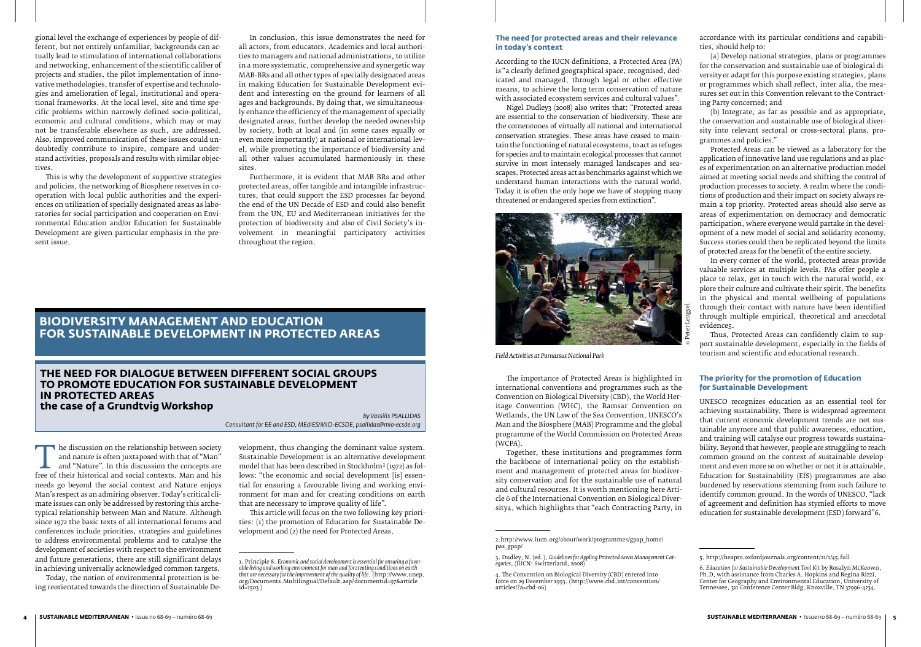# **The need for dialogue between different social groups to promote Education for Sustainable Development in Protected Areas the case of a Grundtvig Workshop**

*by Vassilis PSALLIDAS* 

*Consultant for EE and ESD, MEdIES/MIO-ECSDE, psallidas@mio-ecsde.org*

The discussion on the relationship between society<br>
and nature is often juxtaposed with that of "Man"<br>
and "Nature". In this discussion the concepts are<br>
free of their historical and social contexts. Man and his<br>
needs so and nature is often juxtaposed with that of "Man" and "Nature". In this discussion the concepts are needs go beyond the social context and Nature enjoys Man's respect as an admiring observer. Today's critical climate issues can only be addressed by restoring this archetypical relationship between Man and Nature. Although since 1972 the basic texts of all international forums and conferences include priorities, strategies and guidelines to address environmental problems and to catalyse the development of societies with respect to the environment and future generations, there are still significant delays in achieving universally acknowledged common targets.

Today, the notion of environmental protection is being reorientated towards the direction of Sustainable De-

velopment, thus changing the dominant value system. Sustainable Development is an alternative development model that has been described in Stockholm<sup>1</sup> (1972) as follows: "the economic and social development [is] essential for ensuring a favourable living and working environment for man and for creating conditions on earth that are necessary to improve quality of life".

This article will focus on the two following key priorities: (1) the promotion of Education for Sustainable Development and (2) the need for Protected Areas.

gional level the exchange of experiences by people of different, but not entirely unfamiliar, backgrounds can actually lead to stimulation of international collaborations and networking, enhancement of the scientific caliber of projects and studies, the pilot implementation of innovative methodologies, transfer of expertise and technologies and amelioration of legal, institutional and operational frameworks. At the local level, site and time specific problems within narrowly defined socio-political, economic and cultural conditions, which may or may not be transferable elsewhere as such, are addressed. Also, improved communication of these issues could undoubtedly contribute to inspire, compare and understand activities, proposals and results with similar objectives.

This is why the development of supportive strategies and policies, the networking of Biosphere reserves in cooperation with local public authorities and the experiences on utilization of specially designated areas as laboratories for social participation and cooperation on Environmental Education and/or Education for Sustainable Development are given particular emphasis in the present issue.

In conclusion, this issue demonstrates the need for all actors, from educators, Academics and local authorities to managers and national administrations, to utilize in a more systematic, comprehensive and synergetic way MAB-BRs and all other types of specially designated areas in making Education for Sustainable Development evident and interesting on the ground for learners of all ages and backgrounds. By doing that, we simultaneously enhance the efficiency of the management of specially designated areas, further develop the needed ownership by society, both at local and (in some cases equally or even more importantly) at national or international level, while promoting the importance of biodiversity and all other values accumulated harmoniously in these sites.

Furthermore, it is evident that MAB BRs and other protected areas, offer tangible and intangible infrastructures, that could support the ESD processes far beyond the end of the UN Decade of ESD and could also benefit from the UN, EU and Mediterranean initiatives for the protection of biodiversity and also of Civil Society's involvement in meaningful participatory activities throughout the region.

# **The need for protected areas and their relevance in today's context**

According to the IUCN definition2, a Protected Area (PA) is "a clearly defined geographical space, recognised, dedicated and managed, through legal or other effective means, to achieve the long term conservation of nature with associated ecosystem services and cultural values".

Nigel Dudley3 (2008) also writes that: "Protected areas are essential to the conservation of biodiversity. These are the cornerstones of virtually all national and international conservation strategies. These areas have ceased to maintain the functioning of natural ecosystems, to act as refuges for species and to maintain ecological processes that cannot survive in most intensely managed landscapes and seascapes. Protected areas act as benchmarks against which we understand human interactions with the natural world. Today it is often the only hope we have of stopping many threatened or endangered species from extinction".



*Field Activities at Parnassus National Park* 

The importance of Protected Areas is highlighted in international conventions and programmes such as the Convention on Biological Diversity (CBD), the World Heritage Convention (WHC), the Ramsar Convention on Wetlands, the UN Law of the Sea Convention, UNESCO's Man and the Biosphere (MAB) Programme and the global programme of the World Commission on Protected Areas (WCPA).

Together, these institutions and programmes form the backbone of international policy on the establishment and management of protected areas for biodiversity conservation and for the sustainable use of natural and cultural resources. It is worth mentioning here Article 6 of the International Convention on Biological Diversity4, which highlights that "each Contracting Party, in

# **BIODIVERSITY MANAGEMENT AND EDUCATION FOR SUSTAINABLE DEVELOPMENT IN PROTECTED AREAS**

accordance with its particular conditions and capabilities, should help to:

(a) Develop national strategies, plans or programmes for the conservation and sustainable use of biological diversity or adapt for this purpose existing strategies, plans or programmes which shall reflect, inter alia, the measures set out in this Convention relevant to the Contracting Party concerned; and

(b) Integrate, as far as possible and as appropriate, the conservation and sustainable use of biological diversity into relevant sectoral or cross-sectoral plans, programmes and policies."

Protected Areas can be viewed as a laboratory for the application of innovative land use regulations and as places of experimentation on an alternative production model aimed at meeting social needs and shifting the control of production processes to society. A realm where the conditions of production and their impact on society always remain a top priority. Protected areas should also serve as areas of experimentation on democracy and democratic participation, where everyone would partake in the development of a new model of social and solidarity economy. Success stories could then be replicated beyond the limits of protected areas for the benefit of the entire society.

In every corner of the world, protected areas provide valuable services at multiple levels. PAs offer people a place to relax, get in touch with the natural world, explore their culture and cultivate their spirit. The benefits in the physical and mental wellbeing of populations through their contact with nature have been identified through multiple empirical, theoretical and anecdotal evidence5.

Thus, Protected Areas can confidently claim to support sustainable development, especially in the fields of tourism and scientific and educational research.

# **The priority for the promotion of Education for Sustainable Development**

UNESCO recognizes education as an essential tool for achieving sustainability. There is widespread agreement that current economic development trends are not sustainable anymore and that public awareness, education, and training will catalyse our progress towards sustainability. Beyond that however, people are struggling to reach common ground on the context of sustainable development and even more so on whether or not it is attainable. Education for Sustainability (EfS) programmes are also burdened by reservations stemming from such failure to identify common ground. In the words of UNESCO, "lack of agreement and definition has stymied efforts to move education for sustainable development (ESD) forward"6.

<sup>1.</sup> Principle 8. *Economic and social development is essential for ensuring a favorable living and working environment for man and for creating conditions on earth that are necessary for the improvement of the quality of life*. (http://www.unep. org/Documents.Multilingual/Default.asp?documentid=97&article id=1503 )

<sup>2.</sup>http://www.iucn.org/about/work/programmes/gpap\_home/ pas\_gpap/

<sup>3.</sup> Dudley, N. (ed.), *Guidelines for Appling Protected Areas Management Categories*, (IUCN: Switzerland, 2008)

<sup>4.</sup> The Convention on Biological Diversity (CBD) entered into force on 29 December 1993. (http://www.cbd.int/convention/ articles/?a=cbd-06)

<sup>5.</sup> http://heapro.oxfordjournals.org/content/21/1/45.full

<sup>6.</sup> *Education for Sustainable Development Tool Kit* by Rosalyn McKeown, Ph.D, with assistance from Charles A. Hopkins and Regina Rizzi, Center for Geography and Environmental Education, University of Tennessee, 311 Conference Center Bldg. Knoxville, TN 37996-4234.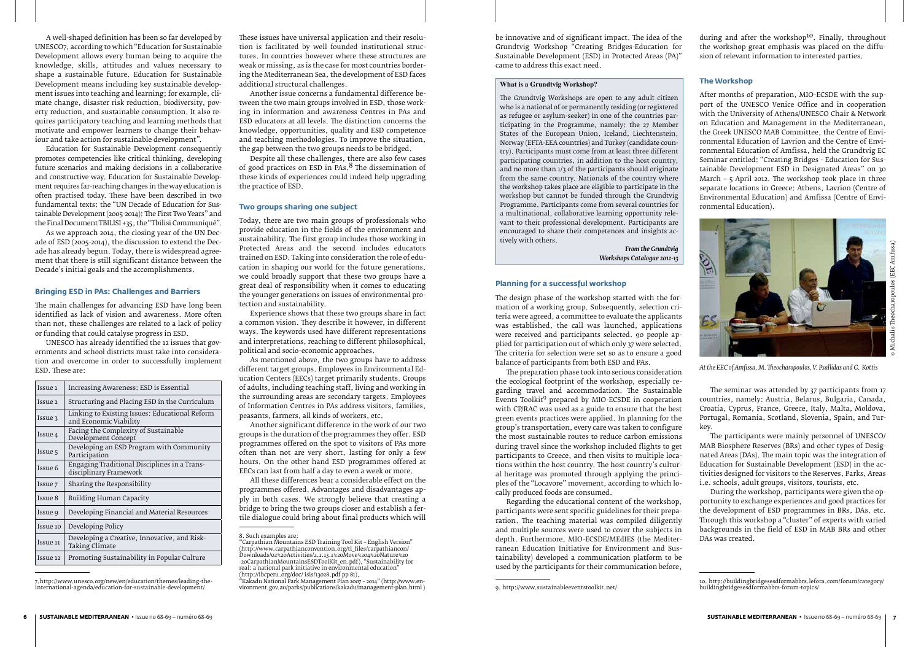be innovative and of significant impact. The idea of the Grundtvig Workshop "Creating Bridges-Education for Sustainable Development (ESD) in Protected Areas (PA)" came to address this exact need.

#### **What is a Grundtvig Workshop?**

The Grundtvig Workshops are open to any adult citizen who is a national of or permanently residing (or registered as refugee or asylum-seeker) in one of the countries participating in the Programme, namely: the 27 Member States of the European Union, Iceland, Liechtenstein, Norway (EFTA-EEA countries) and Turkey (candidate country). Participants must come from at least three different participating countries, in addition to the host country, and no more than 1/3 of the participants should originate from the same country. Nationals of the country where the workshop takes place are eligible to participate in the workshop but cannot be funded through the Grundtvig Programme. Participants come from several countries for a multinational, collaborative learning opportunity relevant to their professional development. Participants are encouraged to share their competences and insights actively with others.

> *From the Grundtvig Workshops Catalogue 2012-13*

#### **Planning for a successful workshop**

The design phase of the workshop started with the formation of a working group. Subsequently, selection criteria were agreed, a committee to evaluate the applicants was established, the call was launched, applications were received and participants selected. 90 people applied for participation out of which only 37 were selected. The criteria for selection were set so as to ensure a good balance of participants from both ESD and PAs.

Education for Sustainable Development consequently promotes competencies like critical thinking, developing future scenarios and making decisions in a collaborative and constructive way. Education for Sustainable Development requires far-reaching changes in the way education is often practised today. These have been described in two fundamental texts: the "UN Decade of Education for Sustainable Development (2005-2014): The First Two Years" and the Final Document TBILISI +35, the "Tbilisi Communiqué".

> The preparation phase took into serious consideration the ecological footprint of the workshop, especially regarding travel and accommodation. The Sustainable Events Toolkit<sup>9</sup> prepared by MIO-ECSDE in cooperation with CP/RAC was used as a guide to ensure that the best green events practices were applied. In planning for the group's transportation, every care was taken to configure the most sustainable routes to reduce carbon emissions during travel since the workshop included flights to get participants to Greece, and then visits to multiple locations within the host country. The host country's cultural heritage was promoted through applying the principles of the "Locavore" movement, according to which locally produced foods are consumed.

> Regarding the educational content of the workshop, participants were sent specific guidelines for their preparation. The teaching material was compiled diligently and multiple sources were used to cover the subjects in depth. Furthermore, MIO-ECSDE/MEdIES (the Mediterranean Education Initiative for Environment and Sustainability) developed a communication platform to be used by the participants for their communication before,

A well-shaped definition has been so far developed by UNESCO7, according to which "Education for Sustainable Development allows every human being to acquire the knowledge, skills, attitudes and values necessary to shape a sustainable future. Education for Sustainable Development means including key sustainable development issues into teaching and learning; for example, climate change, disaster risk reduction, biodiversity, poverty reduction, and sustainable consumption. It also requires participatory teaching and learning methods that motivate and empower learners to change their behaviour and take action for sustainable development".

As we approach 2014, the closing year of the UN Decade of ESD (2005-2014), the discussion to extend the Decade has already begun. Today, there is widespread agreement that there is still significant distance between the Decade's initial goals and the accomplishments.

#### **Bringing ESD in PAs: Challenges and Barriers**

during and after the workshop<sup>10</sup>. Finally, throughout the workshop great emphasis was placed on the diffusion of relevant information to interested parties.

The main challenges for advancing ESD have long been identified as lack of vision and awareness. More often than not, these challenges are related to a lack of policy or funding that could catalyse progress in ESD.

UNESCO has already identified the 12 issues that governments and school districts must take into consideration and overcome in order to successfully implement ESD. These are:

| Issue 1            | Increasing Awareness: ESD is Essential                                   |
|--------------------|--------------------------------------------------------------------------|
| Issue <sub>2</sub> | Structuring and Placing ESD in the Curriculum                            |
| Issue 3            | Linking to Existing Issues: Educational Reform<br>and Economic Viability |
| Issue 4            | Facing the Complexity of Sustainable<br>Development Concept              |
| Issue 5            | Developing an ESD Program with Community<br>Participation                |
| Issue 6            | Engaging Traditional Disciplines in a Trans-<br>disciplinary Framework   |
| Issue 7            | Sharing the Responsibility                                               |
| Issue 8            | Building Human Capacity                                                  |
| Issue 9            | Developing Financial and Material Resources                              |
| Issue 10           | Developing Policy                                                        |
| Issue 11           | Developing a Creative, Innovative, and Risk-<br>Taking Climate           |
| Issue 12           | Promoting Sustainability in Popular Culture                              |

<sup>7.</sup>http://www.unesco.org/new/en/education/themes/leading-theinternational-agenda/education-for-sustainable-development/

These issues have universal application and their resolution is facilitated by well founded institutional structures. In countries however where these structures are weak or missing, as is the case for most countries bordering the Mediterranean Sea, the development of ESD faces additional structural challenges.

Another issue concerns a fundamental difference between the two main groups involved in ESD, those working in information and awareness Centres in PAs and ESD educators at all levels. The distinction concerns the knowledge, opportunities, quality and ESD competence and teaching methodologies. To improve the situation, the gap between the two groups needs to be bridged.

Despite all these challenges, there are also few cases of good practices on ESD in PAs.8 The dissemination of these kinds of experiences could indeed help upgrading the practice of ESD.

# **Two groups sharing one subject**

Today, there are two main groups of professionals who provide education in the fields of the environment and sustainability. The first group includes those working in Protected Areas and the second includes educators trained on ESD. Taking into consideration the role of education in shaping our world for the future generations, we could broadly support that these two groups have a great deal of responsibility when it comes to educating the younger generations on issues of environmental protection and sustainability.

Experience shows that these two groups share in fact a common vision. They describe it however, in different ways. The keywords used have different representations and interpretations, reaching to different philosophical, political and socio-economic approaches.

As mentioned above, the two groups have to address different target groups. Employees in Environmental Education Centers (EECs) target primarily students. Groups of adults, including teaching staff, living and working in the surrounding areas are secondary targets. Employees of Information Centres in PAs address visitors, families, peasants, farmers, all kinds of workers, etc.

Another significant difference in the work of our two groups is the duration of the programmes they offer. ESD programmes offered on the spot to visitors of PAs more often than not are very short, lasting for only a few hours. On the other hand ESD programmes offered at EECs can last from half a day to even a week or more.

All these differences bear a considerable effect on the programmes offered. Advantages and disadvantages apply in both cases. We strongly believe that creating a bridge to bring the two groups closer and establish a fertile dialogue could bring about final products which will

"Kakadu National Park Management Plan 2007 – 2014" (http://www.environment.gov.au/parks/publications/kakadu/management-plan.html )

# **The Workshop**

After months of preparation, MIO-ECSDE with the support of the UNESCO Venice Office and in cooperation with the University of Athens/UNESCO Chair & Network on Education and Management in the Mediterranean, the Greek UNESCO MAB Committee, the Centre of Environmental Education of Lavrion and the Centre of Environmental Education of Amfissa, held the Grundtvig EC Seminar entitled: "Creating Bridges - Education for Sustainable Development ESD in Designated Areas" on 30 March – 5 April 2012. The workshop took place in three separate locations in Greece: Athens, Lavrion (Centre of Environmental Education) and Amfissa (Centre of Environmental Education).

The seminar was attended by 37 participants from 17 countries, namely: Austria, Belarus, Bulgaria, Canada, Croatia, Cyprus, France, Greece, Italy, Malta, Moldova, Portugal, Romania, Scotland, Slovenia, Spain, and Turkey.

The participants were mainly personnel of UNESCO/ MAB Biosphere Reserves (BRs) and other types of Designated Areas (DAs). The main topic was the integration of Education for Sustainable Development (ESD) in the activities designed for visitors to the Reserves, Parks, Areas i.e. schools, adult groups, visitors, tourists, etc.



*At the EEC of Amfissa, M. Theocharopoulos, V. Psallidas and G. Kottis*

During the workshop, participants were given the opportunity to exchange experiences and good practices for the development of ESD programmes in BRs, DAs, etc. Through this workshop a "cluster" of experts with varied backgrounds in the field of ESD in MAB BRs and other DAs was created.

<sup>9.</sup> http://www.sustainableeventstoolkit.net/

<sup>8.</sup> Such examples are: "Carpathian Mountains ESD Training Tool Kit – English Version" (http://www.carpathianconvention.org/tl\_files/carpathiancon/ Downloads/02%20Activities/2.1.13.1%20Move%204%20Nature%20 -20CarpathianMountainsESDToolKit\_en.pdf), "Sustainability for real: a national park initiative in environmental education" (http://ibcperu.org/doc/ isis/13028.pdf pp 81),

<sup>10.</sup> http://buildingbridgesesdformabbrs.lefora.com/forum/category/ buildingbridgesesdformabbrs-forum-topics/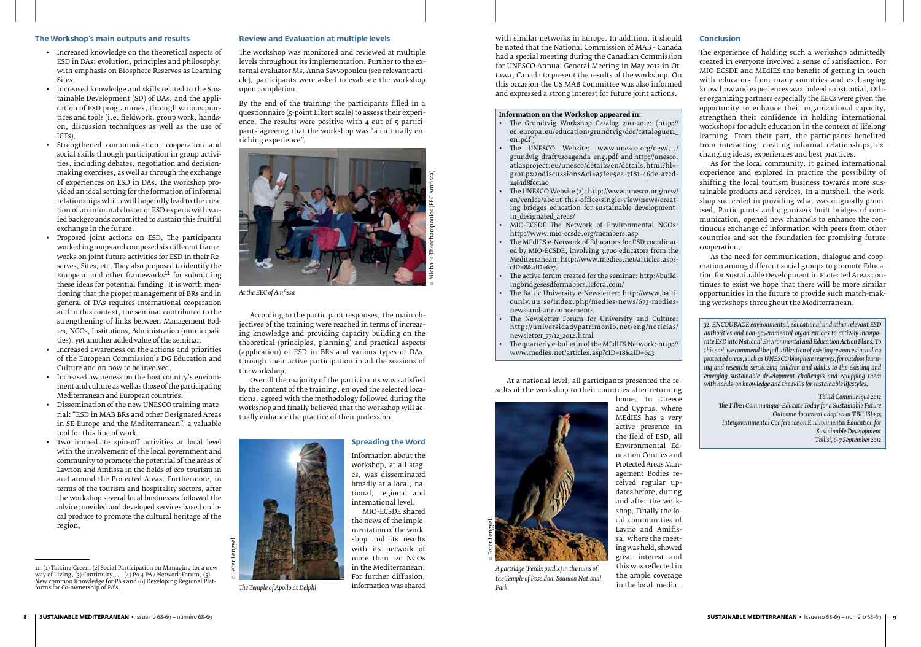#### **The Workshop's main outputs and results**

- • Increased knowledge on the theoretical aspects of ESD in DAs: evolution, principles and philosophy, with emphasis on Biosphere Reserves as Learning Sites.
- • Increased knowledge and skills related to the Sustainable Development (SD) of DAs, and the application of ESD programmes, through various practices and tools (i.e. fieldwork, group work, handson, discussion techniques as well as the use of ICTs).
- Strengthened communication, cooperation and social skills through participation in group activities, including debates, negotiation and decisionmaking exercises, as well as through the exchange of experiences on ESD in DAs. The workshop provided an ideal setting for the formation of informal relationships which will hopefully lead to the creation of an informal cluster of ESD experts with varied backgrounds committed to sustain this fruitful exchange in the future.
- Proposed joint actions on ESD. The participants worked in groups and composed six different frameworks on joint future activities for ESD in their Reserves, Sites, etc. They also proposed to identify the European and other frameworks $11$  for submitting these ideas for potential funding. It is worth mentioning that the proper management of BRs and in general of DAs requires international cooperation and in this context, the seminar contributed to the strengthening of links between Management Bodies, NGOs, Institutions, Administration (municipalities), yet another added value of the seminar.
- Increased awareness on the actions and priorities of the European Commission's DG Education and Culture and on how to be involved.
- Increased awareness on the host country's environment and culture as well as those of the participating Mediterranean and European countries.
- Dissemination of the new UNESCO training material: "ESD in MAB BRs and other Designated Areas in SE Europe and the Mediterranean", a valuable tool for this line of work.
- Two immediate spin-off activities at local level with the involvement of the local government and community to promote the potential of the areas of Lavrion and Amfissa in the fields of eco-tourism in and around the Protected Areas. Furthermore, in terms of the tourism and hospitality sectors, after the workshop several local businesses followed the advice provided and developed services based on local produce to promote the cultural heritage of the region.



*The Temple of Apollo at Delphi* 

#### **Review and Evaluation at multiple levels**

The workshop was monitored and reviewed at multiple levels throughout its implementation. Further to the external evaluator Ms. Anna Savvopoulou (see relevant article), participants were asked to evaluate the workshop upon completion.

- The Grundtvig Workshop Catalog 2011-2012: (http:// ec.europa.eu/education/grundtvig/doc/catalogue11\_ en.pdf )
- The UNESCO Website: www.unesco.org/new/.../ grundvig\_draft%20agenda\_eng.pdf and http://unesco. atlasproject.eu/unesco/details/en/details.html?hl= group%20discussions&ci=a7fee5ea-7f81-46de-a72d-2461d8fcc1a0
- The UNESCO Website (2): http://www.unesco.org/new/ en/venice/about-this-office/single-view/news/creating\_bridges\_education\_for\_sustainable\_development\_ in\_designated\_areas/
- MIO-ECSDE The Network of Environmental NGOs: http://www.mio-ecsde.org/members.asp
- The MEdIES e-Network of Educators for ESD coordinated by MIO-ECSDE, involving 3.700 educators from the Mediterranean: http://www.medies.net/articles.asp? cID=8&aID=627.
- The active forum created for the seminar: http://buildingbridgesesdformabbrs.lefora.com/
- The Baltic University e-Newsletter: http://www.balticuniv.uu.se/index.php/medies-news/673-mediesnews-and-announcements
- The Newsletter Forum for University and Culture: http://universidadypatrimonio.net/eng/noticias/ newsletter\_77/12\_2012.html
- The quarterly e-bulletin of the MEdIES Network: http:// www.medies.net/articles.asp?cID=18&aID=643

home. In Greece and Cyprus, where MEdIES has a very active presence in the field of ESD, all Environmental Education Centres and Protected Areas Management Bodies received regular updates before, during and after the workshop. Finally the local communities of Lavrio and Amifissa, where the meeting was held, showed great interest and this was reflected in the ample coverage<br>in the local media.

By the end of the training the participants filled in a questionnaire (5-point Likert scale) to assess their experience. The results were positive with 4 out of 5 participants agreeing that the workshop was "a culturally enriching experience".

According to the participant responses, the main objectives of the training were reached in terms of increasing knowledge and providing capacity building on the theoretical (principles, planning) and practical aspects (application) of ESD in BRs and various types of DAs, through their active participation in all the sessions of the workshop.

Overall the majority of the participants was satisfied by the content of the training, enjoyed the selected locations, agreed with the methodology followed during the workshop and finally believed that the workshop will actually enhance the practice of their profession.

MIO-ECSDE shared

# with similar networks in Europe. In addition, it should be noted that the National Commission of MAB - Canada had a special meeting during the Canadian Commission for UNESCO Annual General Meeting in May 2012 in Ottawa, Canada to present the results of the workshop. On this occasion the US MAB Committee was also informed and expressed a strong interest for future joint actions.

# **Information on the Workshop appeared in:**

At a national level, all participants presented the results of the workshop to their countries after returning



*At the EEC of Amfissa*

#### **Conclusion**

The experience of holding such a workshop admittedly created in everyone involved a sense of satisfaction. For MIO-ECSDE and MEdIES the benefit of getting in touch with educators from many countries and exchanging know how and experiences was indeed substantial. Other organizing partners especially the EECs were given the opportunity to enhance their organizational capacity, strengthen their confidence in holding international workshops for adult education in the context of lifelong learning. From their part, the participants benefited from interacting, creating informal relationships, exchanging ideas, experiences and best practices.

As for the local community, it gained international experience and explored in practice the possibility of shifting the local tourism business towards more sustainable products and services. In a nutshell, the workshop succeeded in providing what was originally promised. Participants and organizers built bridges of communication, opened new channels to enhance the continuous exchange of information with peers from other countries and set the foundation for promising future cooperation.



*A partridge (Perdix perdix) in the ruins of the Temple of Poseidon, Sounion National Park*

As the need for communication, dialogue and cooperation among different social groups to promote Education for Sustainable Development in Protected Areas continues to exist we hope that there will be more similar opportunities in the future to provide such match-making workshops throughout the Mediterranean.

*32. ENCOURAGE environmental, educational and other relevant ESD authorities and non-governmental organizations to actively incorporate ESD into National Environmental and Education Action Plans. To this end, we commend the full utilization of existing resources including protected areas, such as UNESCO biosphere reserves, for outdoor learning and research; sensitizing children and adults to the existing and emerging sustainable development challenges and equipping them with hands-on knowledge and the skills for sustainable lifestyles.*

*Tbilisi Communiqué 2012 The Tilbisi Communiqué-Educate Today for a Sustainable Future Outcome document adopted at TBILISI+35 Intergovernmental Conference on Environmental Education for Sustainable Development Tbilisi, 6-7 September 2012*

<sup>11. (1)</sup> Talking Green, (2) Social Participation on Managing for a new way of Living, (3) Continuity... , (4) PA 4 PA / Network Forum, (5) New common Knowledge for PA's and (6) Developing Regional Platforms for Co-ownership of PA's.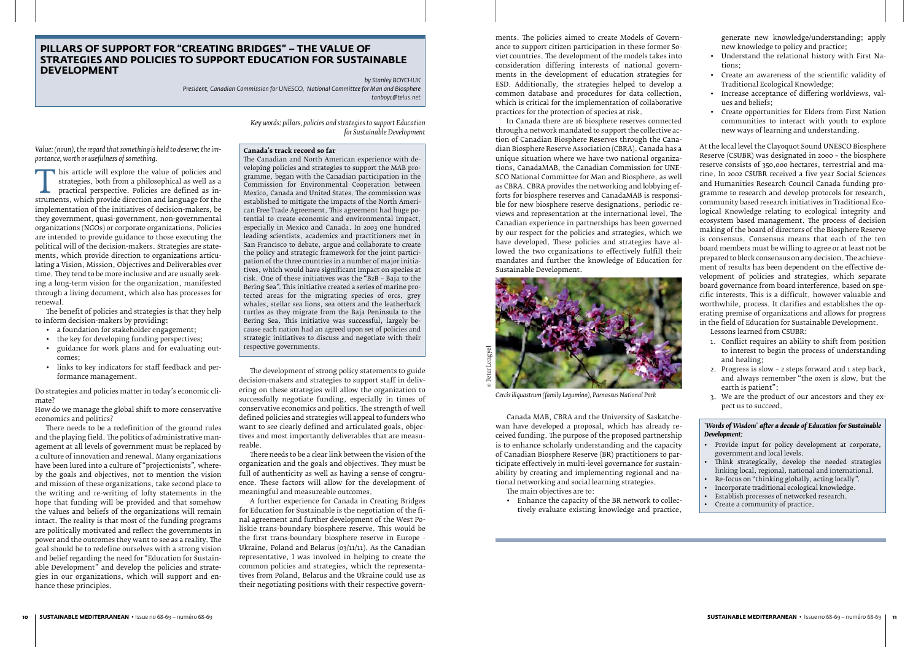*Key words: pillars, policies and strategies to support Education for Sustainable Development*

*Value: (noun), the regard that something is held to deserve; the importance, worth or usefulness of something.*

This article will explore the value of policies and strategies, both from a philosophical as well as a practical perspective. Policies are defined as instruments, which provide direction and language for the implementation strategies, both from a philosophical as well as a practical perspective. Policies are defined as inimplementation of the initiatives of decision-makers, be they government, quasi-government, non-governmental organizations (NGOs) or corporate organizations. Policies are intended to provide guidance to those executing the political will of the decision-makers. Strategies are statements, which provide direction to organizations articulating a Vision, Mission, Objectives and Deliverables over time. They tend to be more inclusive and are usually seeking a long-term vision for the organization, manifested through a living document, which also has processes for renewal.

The benefit of policies and strategies is that they help to inform decision-makers by providing:

- • a foundation for stakeholder engagement;
- the key for developing funding perspectives;
- • guidance for work plans and for evaluating outcomes;
- • links to key indicators for staff feedback and performance management.

Do strategies and policies matter in today's economic climate?

How do we manage the global shift to more conservative economics and politics?

There needs to be a redefinition of the ground rules and the playing field. The politics of administrative management at all levels of government must be replaced by a culture of innovation and renewal. Many organizations have been lured into a culture of "projectionists", whereby the goals and objectives, not to mention the vision and mission of these organizations, take second place to the writing and re-writing of lofty statements in the hope that funding will be provided and that somehow the values and beliefs of the organizations will remain intact. The reality is that most of the funding programs are politically motivated and reflect the governments in power and the outcomes they want to see as a reality. The goal should be to redefine ourselves with a strong vision and belief regarding the need for "Education for Sustainable Development" and develop the policies and strategies in our organizations, which will support and enhance these principles.

# **Canada's track record so far**

The Canadian and North American experience with developing policies and strategies to support the MAB programme, began with the Canadian participation in the Commission for Environmental Cooperation between Mexico, Canada and United States. The commission was established to mitigate the impacts of the North American Free Trade Agreement. This agreement had huge potential to create economic and environmental impact, especially in Mexico and Canada. In 2003 one hundred leading scientists, academics and practitioners met in San Francisco to debate, argue and collaborate to create the policy and strategic framework for the joint participation of the three countries in a number of major initiatives, which would have significant impact on species at risk. One of these initiatives was the "B2B – Baja to the Bering Sea". This initiative created a series of marine protected areas for the migrating species of orcs, grey whales, stellar sea lions, sea otters and the leatherback turtles as they migrate from the Baja Peninsula to the Bering Sea. This initiative was successful, largely because each nation had an agreed upon set of policies and strategic initiatives to discuss and negotiate with their respective governments.

The development of strong policy statements to guide decision-makers and strategies to support staff in delivering on these strategies will allow the organization to successfully negotiate funding, especially in times of conservative economics and politics. The strength of well defined policies and strategies will appeal to funders who want to see clearly defined and articulated goals, objectives and most importantly deliverables that are measureable.

There needs to be a clear link between the vision of the organization and the goals and objectives. They must be full of authenticity as well as having a sense of congruence. These factors will allow for the development of meaningful and measureable outcomes.

- • Provide input for policy development at corporate, government and local levels.
- Think strategically, develop the needed strategies linking local, regional, national and international.
- Re-focus on "thinking globally, acting locally".
- • Incorporate traditional ecological knowledge.
- Establish processes of networked research.
- Create a community of practice.

A further experience for Canada in Creating Bridges for Education for Sustainable is the negotiation of the final agreement and further development of the West Poliskie trans-boundary biosphere reserve. This would be the first trans-boundary biosphere reserve in Europe - Ukraine, Poland and Belarus (03/11/11). As the Canadian representative, I was involved in helping to create the common policies and strategies, which the representatives from Poland, Belarus and the Ukraine could use as their negotiating positions with their respective govern-

# **PILLARS OF SUPPORT FOR "CREATING BRIDGES" – THE VALUE OF STRATEGIES AND POLICIES TO SUPPORT EDUCATION FOR SUSTAINABLE DEVELOPMENT**

*by Stanley BOYCHUK President, Canadian Commission for UNESCO, National Committee for Man and Biosphere tanboyc@telus.net*

ments. The policies aimed to create Models of Governance to support citizen participation in these former Soviet countries. The development of the models takes into consideration differing interests of national governments in the development of education strategies for ESD. Additionally, the strategies helped to develop a common database and procedures for data collection, which is critical for the implementation of collaborative practices for the protection of species at risk.

In Canada there are 16 biosphere reserves connected through a network mandated to support the collective action of Canadian Biosphere Reserves through the Canadian Biosphere Reserve Association (CBRA). Canada has a unique situation where we have two national organizations, CanadaMAB, the Canadian Commission for UNE-SCO National Committee for Man and Biosphere, as well as CBRA. CBRA provides the networking and lobbying efforts for biosphere reserves and CanadaMAB is responsible for new biosphere reserve designations, periodic reviews and representation at the international level. The Canadian experience in partnerships has been governed by our respect for the policies and strategies, which we have developed. These policies and strategies have allowed the two organizations to effectively fulfill their mandates and further the knowledge of Education for Sustainable Development.

Canada MAB, CBRA and the University of Saskatchewan have developed a proposal, which has already received funding. The purpose of the proposed partnership is to enhance scholarly understanding and the capacity of Canadian Biosphere Reserve (BR) practitioners to participate effectively in multi-level governance for sustainability by creating and implementing regional and national networking and social learning strategies. The main objectives are to:

• Enhance the capacity of the BR network to collectively evaluate existing knowledge and practice,

generate new knowledge/understanding; apply new knowledge to policy and practice;

- • Understand the relational history with First Nations;
- • Create an awareness of the scientific validity of Traditional Ecological Knowledge;
- • Increase acceptance of differing worldviews, values and beliefs;
- • Create opportunities for Elders from First Nation communities to interact with youth to explore new ways of learning and understanding.



*Cercis iliquastrum (family Legumino), Parnassus National Park*

At the local level the Clayoquot Sound UNESCO Biosphere Reserve (CSUBR) was designated in 2000 – the biosphere reserve consists of 350,000 hectares, terrestrial and marine. In 2002 CSUBR received a five year Social Sciences and Humanities Research Council Canada funding programme to research and develop protocols for research, community based research initiatives in Traditional Ecological Knowledge relating to ecological integrity and ecosystem based management. The process of decision making of the board of directors of the Biosphere Reserve is consensus. Consensus means that each of the ten board members must be willing to agree or at least not be prepared to block consensus on any decision. The achievement of results has been dependent on the effective development of policies and strategies, which separate board governance from board interference, based on specific interests. This is a difficult, however valuable and worthwhile, process. It clarifies and establishes the operating premise of organizations and allows for progress in the field of Education for Sustainable Development.

Lessons learned from CSUBR:

- 1. Conflict requires an ability to shift from position to interest to begin the process of understanding and healing;
- 2. Progress is slow 2 steps forward and 1 step back, and always remember "the oxen is slow, but the earth is patient";
- 3. We are the product of our ancestors and they expect us to succeed.

# '*Words of Wisdom*' *after a decade of Education for Sustainable Development:*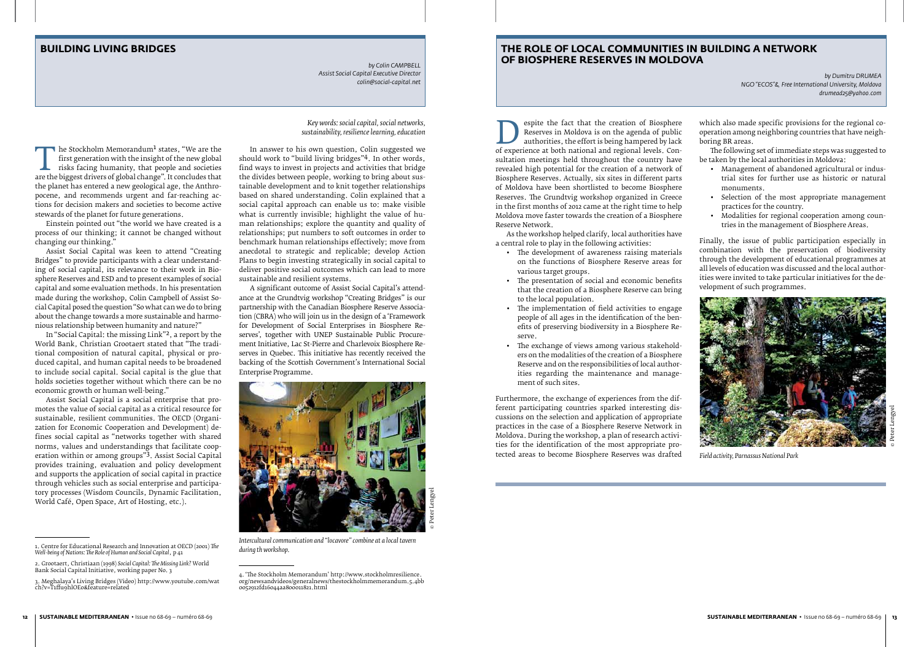# **BUILDING LIVING BRIDGES**

*by Colin CAMPBELL Assist Social Capital Executive Director colin@social-capital.net* 

# **THE ROLE OF LOCAL COMMUNITIES IN BUILDING A NETWORK OF BIOSPHERE RESERVES IN MOLDOVA**

*by Dumitru DRUMEA NGO "ECOS"& Free International University, Moldova drumead25@yahoo.com*

*Key words: social capital, social networks, sustainability, resilience learning, education*

The Stockholm Memorandum<sup>1</sup> states, "We are the first generation with the insight of the new global risks facing humanity, that people and societies are the biggest drivers of global change". It concludes that the planet h first generation with the insight of the new global risks facing humanity, that people and societies the planet has entered a new geological age, the Anthropocene, and recommends urgent and far-reaching actions for decision makers and societies to become active stewards of the planet for future generations.

Einstein pointed out "the world we have created is a process of our thinking; it cannot be changed without changing our thinking."

Assist Social Capital was keen to attend "Creating Bridges" to provide participants with a clear understanding of social capital, its relevance to their work in Biosphere Reserves and ESD and to present examples of social capital and some evaluation methods. In his presentation made during the workshop, Colin Campbell of Assist Social Capital posed the question "So what can we do to bring about the change towards a more sustainable and harmonious relationship between humanity and nature?"

In "Social Capital: the missing Link"2, a report by the World Bank, Christian Grootaert stated that "The traditional composition of natural capital, physical or produced capital, and human capital needs to be broadened to include social capital. Social capital is the glue that holds societies together without which there can be no economic growth or human well-being."

Assist Social Capital is a social enterprise that promotes the value of social capital as a critical resource for sustainable, resilient communities. The OECD (Organization for Economic Cooperation and Development) defines social capital as "networks together with shared norms, values and understandings that facilitate cooperation within or among groups"3. Assist Social Capital provides training, evaluation and policy development and supports the application of social capital in practice through vehicles such as social enterprise and participatory processes (Wisdom Councils, Dynamic Facilitation, World Café, Open Space, Art of Hosting, etc.).

Espite the fact that the creation of Biosphere<br>
Reserves in Moldova is on the agenda of public<br>
of experience at both national and regional levels. Con-<br>
sultation meetings held throughout the country have Reserves in Moldova is on the agenda of public authorities, the effort is being hampered by lack sultation meetings held throughout the country have revealed high potential for the creation of a network of Biosphere Reserves. Actually, six sites in different parts of Moldova have been shortlisted to become Biosphere Reserves. The Grundtvig workshop organized in Greece in the first months of 2012 came at the right time to help Moldova move faster towards the creation of a Biosphere Reserve Network.

In answer to his own question, Colin suggested we should work to "build living bridges"4. In other words, find ways to invest in projects and activities that bridge the divides between people, working to bring about sustainable development and to knit together relationships based on shared understanding. Colin explained that a social capital approach can enable us to: make visible what is currently invisible; highlight the value of human relationships; explore the quantity and quality of relationships; put numbers to soft outcomes in order to benchmark human relationships effectively; move from anecdotal to strategic and replicable; develop Action Plans to begin investing strategically in social capital to deliver positive social outcomes which can lead to more sustainable and resilient systems.

A significant outcome of Assist Social Capital's attendance at the Grundtvig workshop "Creating Bridges" is our partnership with the Canadian Biosphere Reserve Association (CBRA) who will join us in the design of a 'Framework for Development of Social Enterprises in Biosphere Reserves', together with UNEP Sustainable Public Procurement Initiative, Lac St-Pierre and Charlevoix Biosphere Reserves in Quebec. This initiative has recently received the backing of the Scottish Government's International Social Enterprise Programme.

As the workshop helped clarify, local authorities have a central role to play in the following activities:

- • The development of awareness raising materials on the functions of Biosphere Reserve areas for various target groups.
- • The presentation of social and economic benefits that the creation of a Biosphere Reserve can bring to the local population.
- The implementation of field activities to engage people of all ages in the identification of the benefits of preserving biodiversity in a Biosphere Reserve.
- The exchange of views among various stakeholders on the modalities of the creation of a Biosphere Reserve and on the responsibilities of local authorities regarding the maintenance and management of such sites.



*Intercultural communication and "locavore" combine at a local tavern during th workshop.*

Furthermore, the exchange of experiences from the different participating countries sparked interesting discussions on the selection and application of appropriate practices in the case of a Biosphere Reserve Network in Moldova. During the workshop, a plan of research activities for the identification of the most appropriate protected areas to become Biosphere Reserves was drafted

which also made specific provisions for the regional cooperation among neighboring countries that have neighboring BR areas.

The following set of immediate steps was suggested to be taken by the local authorities in Moldova:

- • Management of abandoned agricultural or industrial sites for further use as historic or natural monuments.
- • Selection of the most appropriate management practices for the country.
- Modalities for regional cooperation among countries in the management of Biosphere Areas.

Finally, the issue of public participation especially in combination with the preservation of biodiversity through the development of educational programmes at all levels of education was discussed and the local authorities were invited to take particular initiatives for the development of such programmes.



*Field activity, Parnassus National Park*

© Peter Lengyel

<sup>1.</sup> Centre for Educational Research and Innovation at OECD (2001) *The Well-being of Nations: The Role of Human and Social Capital*, p 41

<sup>2.</sup> Grootaert, Christiaan (1998) *Social Capital: The Missing Link?* World Bank Social Capital Initiative, working paper No. 3

<sup>3.</sup> Meghalaya's Living Bridges (Video) http://www.youtube.com/wat ch?v=T1ffu9hlOEo&feature=related

<sup>4. &#</sup>x27;The Stockholm Memorandum' http://www.stockholmresilience. org/newsandvideos/generalnews/thestockholmmemorandum.5.4bb 0052912fd16044aa800011821.html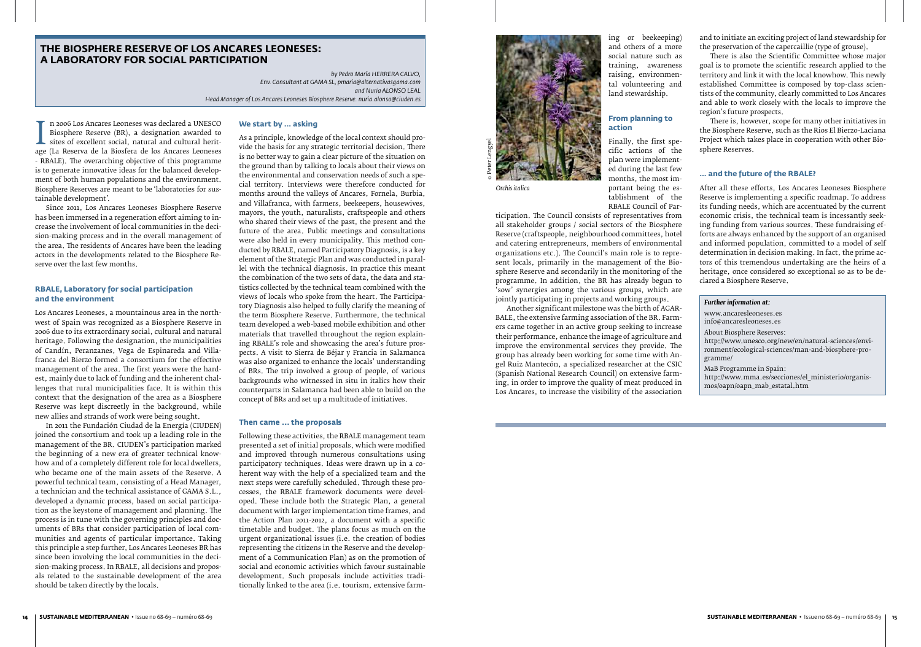# **THE BIOSPHERE RESERVE OF LOS ANCARES LEONESES: A LABORATORY FOR SOCIAL PARTICIPATION**

*by Pedro María HERRERA CALVO, Env. Consultant at GAMA SL, pmaria@alternativasgama.com and Nuria ALONSO LEAL Head Manager of Los Ancares Leoneses Biosphere Reserve. nuria.alonso@ciuden.es*

Biosphere Reserve (BR), a designation awarded to<br>sites of excellent social, natural and cultural herit-<br>age (La Reserva de la Biosfera de los Ancares Leoneses<br>- RBALE) The overarching objective of this programme n 2006 Los Ancares Leoneses was declared a UNESCO Biosphere Reserve (BR), a designation awarded to  $\perp$  sites of excellent social, natural and cultural herit-- RBALE). The overarching objective of this programme is to generate innovative ideas for the balanced development of both human populations and the environment. Biosphere Reserves are meant to be 'laboratories for sustainable development'.

Since 2011, Los Ancares Leoneses Biosphere Reserve has been immersed in a regeneration effort aiming to increase the involvement of local communities in the decision-making process and in the overall management of the area. The residents of Ancares have been the leading actors in the developments related to the Biosphere Reserve over the last few months.

# **RBALE, Laboratory for social participation and the environment**

Los Ancares Leoneses, a mountainous area in the northwest of Spain was recognized as a Biosphere Reserve in 2006 due to its extraordinary social, cultural and natural heritage. Following the designation, the municipalities of Candín, Peranzanes, Vega de Espinareda and Villafranca del Bierzo formed a consortium for the effective management of the area. The first years were the hardest, mainly due to lack of funding and the inherent challenges that rural municipalities face. It is within this context that the designation of the area as a Biosphere Reserve was kept discreetly in the background, while new allies and strands of work were being sought.

In 2011 the Fundación Ciudad de la Energía (CIUDEN) joined the consortium and took up a leading role in the management of the BR. CIUDEN's participation marked the beginning of a new era of greater technical knowhow and of a completely different role for local dwellers, who became one of the main assets of the Reserve. A powerful technical team, consisting of a Head Manager, a technician and the technical assistance of GAMA S.L., developed a dynamic process, based on social participation as the keystone of management and planning. The process is in tune with the governing principles and documents of BRs that consider participation of local communities and agents of particular importance. Taking this principle a step further, Los Ancares Leoneses BR has since been involving the local communities in the decision-making process. In RBALE, all decisions and proposals related to the sustainable development of the area should be taken directly by the locals.

#### **We start by … asking**

As a principle, knowledge of the local context should provide the basis for any strategic territorial decision. There is no better way to gain a clear picture of the situation on<br>the ground than by talking to locals about their views on the ground than by talking to locals about their views on the environmental and conservation needs of such a special territory. Interviews were therefore conducted for months around the valleys of Ancares, Fornela, Burbia, and Villafranca, with farmers, beekeepers, housewives, mayors, the youth, naturalists, craftspeople and others who shared their views of the past, the present and the future of the area. Public meetings and consultations were also held in every municipality. This method conducted by RBALE, named Participatory Diagnosis, is a key element of the Strategic Plan and was conducted in parallel with the technical diagnosis. In practice this meant the combination of the two sets of data, the data and statistics collected by the technical team combined with the views of locals who spoke from the heart. The Participatory Diagnosis also helped to fully clarify the meaning of the term Biosphere Reserve. Furthermore, the technical team developed a web-based mobile exhibition and other materials that travelled throughout the region explaining RBALE's role and showcasing the area's future prospects. A visit to Sierra de Béjar y Francia in Salamanca was also organized to enhance the locals' understanding of BRs. The trip involved a group of people, of various backgrounds who witnessed in situ in italics how their counterparts in Salamanca had been able to build on the concept of BRs and set up a multitude of initiatives.

#### **Then came ... the proposals**

Following these activities, the RBALE management team presented a set of initial proposals, which were modified and improved through numerous consultations using participatory techniques. Ideas were drawn up in a coherent way with the help of a specialized team and the next steps were carefully scheduled. Through these processes, the RBALE framework documents were developed. These include both the Strategic Plan, a general document with larger implementation time frames, and the Action Plan 2011-2012, a document with a specific timetable and budget. The plans focus as much on the urgent organizational issues (i.e. the creation of bodies representing the citizens in the Reserve and the development of a Communication Plan) as on the promotion of social and economic activities which favour sustainable development. Such proposals include activities traditionally linked to the area (i.e. tourism, extensive farm-

ing or beekeeping) and others of a more<br>social nature such as social nature such as training, awareness raising, environmental volunteering and land stewardship.

#### **From planning to action**

Finally, the first specific actions of the plan were implemented during the last few months, the most important being the establishment of the RBALE Council of Par-

ticipation. The Council consists of representatives from all stakeholder groups / social sectors of the Biosphere Reserve (craftspeople, neighbourhood committees, hotel and catering entrepreneurs, members of environmental organizations etc.). The Council's main role is to represent locals, primarily in the management of the Biosphere Reserve and secondarily in the monitoring of the programme. In addition, the BR has already begun to 'sow' synergies among the various groups, which are jointly participating in projects and working groups.

Another significant milestone was the birth of AGAR-BALE, the extensive farming association of the BR. Farmers came together in an active group seeking to increase their performance, enhance the image of agriculture and improve the environmental services they provide. The group has already been working for some time with Angel Ruiz Mantecón, a specialized researcher at the CSIC (Spanish National Research Council) on extensive farming, in order to improve the quality of meat produced in Los Ancares, to increase the visibility of the association

and to initiate an exciting project of land stewardship for the preservation of the capercaillie (type of grouse).

There is also the Scientific Committee whose major goal is to promote the scientific research applied to the territory and link it with the local knowhow. This newly established Committee is composed by top-class scientists of the community, clearly committed to Los Ancares and able to work closely with the locals to improve the region's future prospects. region's future prospects.

There is, however, scope for many other initiatives in the Biosphere Reserve, such as the Rios El Bierzo-Laciana Project which takes place in cooperation with other Biosphere Reserves.

# **… and the future of the RBALE?**

After all these efforts, Los Ancares Leoneses Biosphere Reserve is implementing a specific roadmap. To address its funding needs, which are accentuated by the current economic crisis, the technical team is incessantly seeking funding from various sources. These fundraising efforts are always enhanced by the support of an organised and informed population, committed to a model of self determination in decision making. In fact, the prime actors of this tremendous undertaking are the heirs of a heritage, once considered so exceptional so as to be declared a Biosphere Reserve.

#### *Further information at:*

www.ancaresleoneses.es info@ancaresleoneses.es About Biosphere Reserves: http://www.unesco.org/new/en/natural-sciences/environment/ecological-sciences/man-and-biosphere-programme/ MaB Programme in Spain:

http://www.mma.es/secciones/el\_ministerio/organismos/oapn/oapn\_mab\_estatal.htm

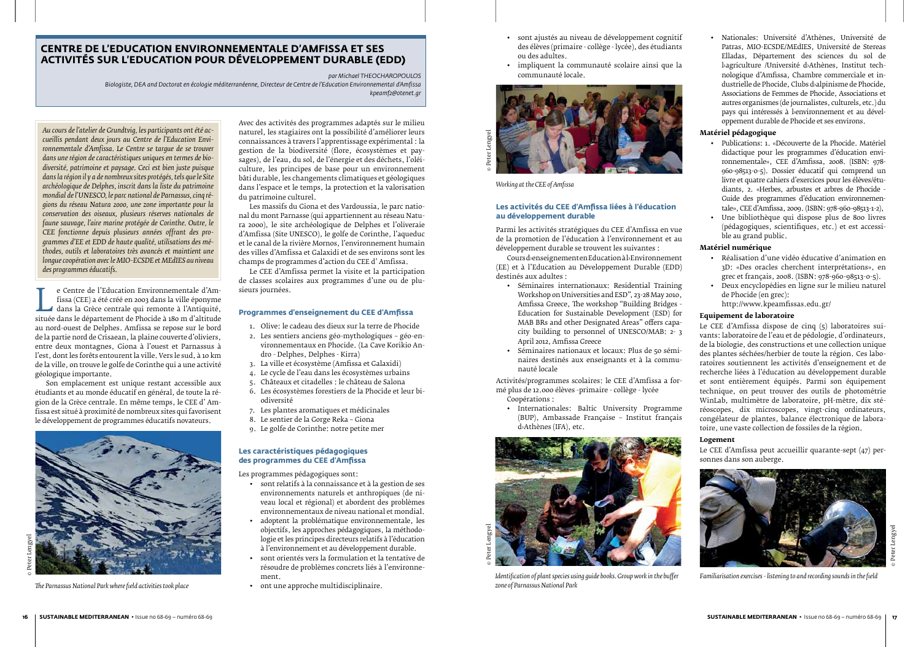*Au cours de l'atelier de Grundtvig, les participants ont été accueillis pendant deux jours au Centre de l'Education Environnementale d'Amfissa. Le Centre se targue de se trouver dans une région de caractéristiques uniques en termes de biodiversité, patrimoine et paysage. Ceci est bien juste puisque dans la région il y a de nombreux sites protégés, tels que le Site archéologique de Delphes, inscrit dans la liste du patrimoine mondial de l'UNESCO, le parc national de Parnassus, cinq régions du réseau Natura 2000, une zone importante pour la conservation des oiseaux, plusieurs réserves nationales de faune sauvage, l'aire marine protégée de Corinthe. Outre, le CEE fonctionne depuis plusieurs années offrant des programmes d'EE et EDD de haute qualité, utilisations des méthodes, outils et laboratoires très avancés et maintient une longue coopération avec le MIO-ECSDE et MEdIES au niveau des programmes éducatifs.*

e Centre de l'Education Environnementale d'Am-<br>
fissa (CEE) a été créé en 2003 dans la ville éponyme<br>
dans la Grèce centrale qui remonte à l'Antiquité,<br>
située dans le département de Phocide à 180 m d'altitude<br>
au nord-oue fissa (CEE) a été créé en 2003 dans la ville éponyme dans la Grèce centrale qui remonte à l'Antiquité, au nord-ouest de Delphes. Amfissa se repose sur le bord de la partie nord de Crisaean, la plaine couverte d'oliviers, entre deux montagnes, Giona à l'ouest et Parnassus à l'est, dont les forêts entourent la ville. Vers le sud, à 10 km de la ville, on trouve le golfe de Corinthe qui a une activité géologique importante.

Son emplacement est unique restant accessible aux étudiants et au monde éducatif en général, de toute la région de la Grèce centrale. En même temps, le CEE d' Amfissa est situé à proximité de nombreux sites qui favorisent le développement de programmes éducatifs novateurs.



*The Parnassus National Park where field activities took place*

- sont relatifs à la connaissance et à la gestion de ses environnements naturels et anthropiques (de niveau local et régional) et abordent des problèmes environnementaux de niveau national et mondial.
- adoptent la problématique environnementale, les objectifs, les approches pédagogiques, la méthodologie et les principes directeurs relatifs à l'éducation à l'environnement et au développement durable.
- • sont orientés vers la formulation et la tentative de résoudre de problèmes concrets liés à l'environnement.
- • ont une approche multidisciplinaire.

Avec des activités des programmes adaptés sur le milieu naturel, les stagiaires ont la possibilité d'améliorer leurs connaissances à travers l'apprentissage expérimental : la gestion de la biodiversité (flore, écosystèmes et paysages), de l'eau, du sol, de l'énergie et des déchets, l'oléiculture, les principes de base pour un environnement bâti durable, les changements climatiques et géologiques dans l'espace et le temps, la protection et la valorisation du patrimoine culturel.

Les massifs du Giona et des Vardoussia, le parc national du mont Parnasse (qui appartiennent au réseau Natura 2000), le site archéologique de Delphes et l'oliveraie d'Amfissa (Site UNESCO), le golfe de Corinthe, l'aqueduc et le canal de la rivière Mornos, l'environnement humain des villes d'Amfissa et Galaxidi et de ses environs sont les champs de programmes d'action du CEE d' Amfissa.

Le CEE d'Amfissa permet la visite et la participation de classes scolaires aux programmes d'une ou de plusieurs journées.

# **Programmes d'enseignement du CEE d'Amfissa**

- 1. Olive: le cadeau des dieux sur la terre de Phocide
- 2. Les sentiers anciens géo-mythologiques géo-environnementaux en Phocide. (La Cave Korikio Andro - Delphes, Delphes - Kirra)
- 3. La ville et écosystème (Amfissa et Galaxidi)
- 4. Le cycle de l'eau dans les écosystèmes urbains
- 5. Châteaux et citadelles : le château de Salona
- 6. Les écosystèmes forestiers de la Phocide et leur biodiversité
- 7. Les plantes aromatiques et médicinales
- 8. Le sentier de la Gorge Reka Giona
- 9. Le golfe de Corinthe: notre petite mer

#### **Les caractéristiques pédagogiques des programmes du CEE d'Amfissa**

Les programmes pédagogiques sont:

- • sont ajustés au niveau de développement cognitif des élèves (primaire - collège - lycée), des étudiants ou des adultes.
- • impliquent la communauté scolaire ainsi que la communauté locale.

# **Les activités du CEE d'Amfissa liées à l'éducation au développement durable**

Parmi les activités stratégiques du CEE d'Amfissa en vue de la promotion de l'éducation à l'environnement et au développement durable se trouvent les suivantes :

Cours d›enseignement en Education à l›Environnement (EE) et à l'Education au Développement Durable (EDD) destinés aux adultes :

- • Séminaires internationaux: Residential Training Workshop on Universities and ESD", 23-28 May 2010, Amfissa Greece, The workshop "Building Bridges - Education for Sustainable Development (ESD) for MAB BRs and other Designated Areas" offers capacity building to personnel of UNESCO/MAB: 2- 3 April 2012, Amfissa Greece
- • Séminaires nationaux et locaux: Plus de 50 séminaires destinés aux enseignants et à la communauté locale

Activités/programmes scolaires: le CEE d'Amfissa a formé plus de 12.000 élèves -primaire - collège - lycée Coopérations :

• Internationales: Baltic University Programme (BUP), Ambassade Française – Institut français d›Athènes (IFA), etc.

• Nationales: Université d'Athènes, Université de Patras, MIO-ECSDE/MEdIES, Université de Stereas Elladas, Département des sciences du sol de l›agriculture /Université d›Athènes, Institut technologique d'Amfissa, Chambre commerciale et industrielle de Phocide, Clubs d›alpinisme de Phocide, Associations de Femmes de Phocide, Associations et autres organismes (de journalistes, culturels, etc.) du pays qui intéressés à benvironnement et au développement durable de Phocide et ses environs.

# **Matériel pédagogique**



*Working at the CEE of Amfissa*

- • Publications: 1. «Découverte de la Phocide. Matériel didactique pour les programmes d'éducation environnementale», CEE d'Amfissa, 2008. (ISBN: 978- 960-98513-0-5). Dossier éducatif qui comprend un livre et quatre cahiers d'exercices pour les élèves/étudiants, 2. «Herbes, arbustes et arbres de Phocide - Guide des programmes d'éducation environnementale»,CEEd'Amfissa, 2009. (ISBN: 978-960-98513-1-2),
- • Une bibliothèque qui dispose plus de 800 livres (pédagogiques, scientifiques, etc.) et est accessible au grand public.

# **Matériel numérique**

- • Réalisation d'une vidéo éducative d'animation en 3D: «Des oracles cherchent interprétations», en grec et français, 2008. (ISBN: 978-960-98513-0-5).
- • Deux encyclopédies en ligne sur le milieu naturel de Phocide (en grec):

 http://www.kpeamfissas.edu.gr/

# **Equipement de laboratoire**

Le CEE d'Amfissa dispose de cinq (5) laboratoires suivants: laboratoire de l'eau et de pédologie, d'ordinateurs, de la biologie, des constructions et une collection unique des plantes séchées/herbier de toute la région. Ces laboratoires soutiennent les activités d'enseignement et de recherche liées à l'éducation au développement durable et sont entièrement équipés. Parmi son équipement technique, on peut trouver des outils de photométrie WinLab, multimètre de laboratoire, pH-mètre, dix stéréoscopes, dix microscopes, vingt-cinq ordinateurs, congélateur de plantes, balance électronique de laboratoire, une vaste collection de fossiles de la région.

# **Logement**

Le CEE d'Amfissa peut accueillir quarante-sept (47) personnes dans son auberge.



*Familiarisation exercises - listening to and recording sounds in the field*

# **Centre de l'Education Environnementale d'Amfissa et ses activités sur l'Education pour Développement Durable (EDD)**



*Identification of plant species using guide books. Group work in the buffer zone of Parnassus National Park*

*par Michael THEOCHAROPOULOS*

*Biologiste, DEA and Doctorat en écologie méditerranéenne, Directeur de Centre de l'Education Environnemental d'Amfissa kpeamf2@otenet.gr*

© Peter Lengyel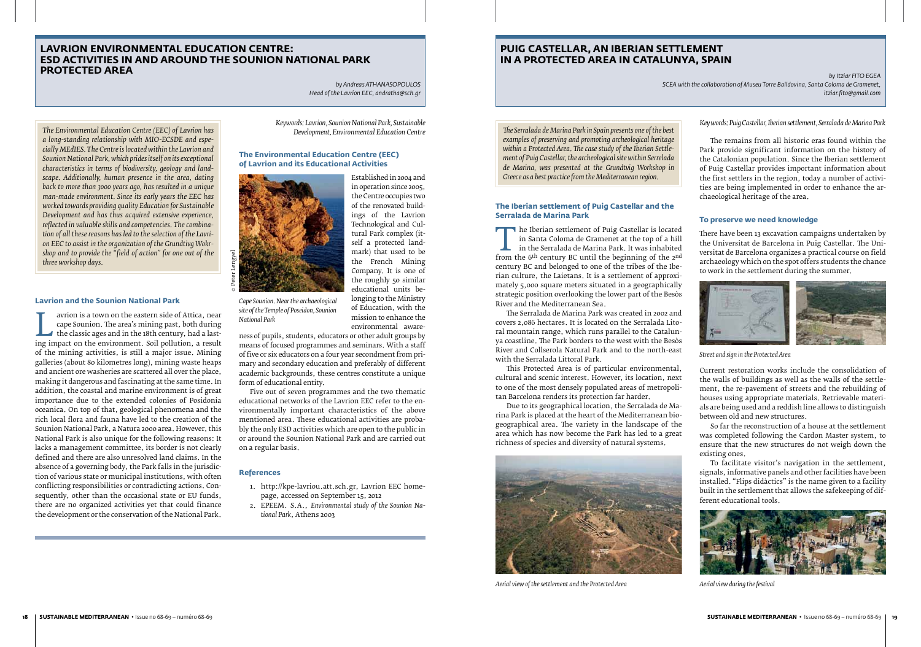*The Environmental Education Centre (EEC) of Lavrion has a long-standing relationship with MIO-ECSDE and especially MEdIES. The Centre is located within the Lavrion and Sounion National Park, which prides itself on its exceptional characteristics in terms of biodiversity, geology and landscape. Additionally, human presence in the area, dating back to more than 3000 years ago, has resulted in a unique man-made environment. Since its early years the EEC has worked towards providing quality Education for Sustainable Development and has thus acquired extensive experience, reflected in valuable skills and competencies. The combination of all these reasons has led to the selection of the Lavrion EEC to assist in the organization of the Grundtivg Wokrshop and to provide the "field of action" for one out of the* 

*three workshop days.*

# **Lavrion and the Sounion National Park**

aviton is a town on the eastern side of Attica, hear cape Sounion. The area's mining past, both during the classic ages and in the 18th century, had a lasting impact on the environment. Soil pollution, a result of the mini cape Sounion. The area's mining past, both during the classic ages and in the 18th century, had a lastof the mining activities, is still a major issue. Mining galleries (about 80 kilometres long), mining waste heaps and ancient ore washeries are scattered all over the place, making it dangerous and fascinating at the same time. In addition, the coastal and marine environment is of great importance due to the extended colonies of Posidonia oceanica. On top of that, geological phenomena and the rich local flora and fauna have led to the creation of the Sounion National Park, a Natura 2000 area. However, this National Park is also unique for the following reasons: It lacks a management committee, its border is not clearly defined and there are also unresolved land claims. In the absence of a governing body, the Park falls in the jurisdiction of various state or municipal institutions, with often conflicting responsibilities or contradicting actions. Consequently, other than the occasional state or EU funds, there are no organized activities yet that could finance the development or the conservation of the National Park.

The Iberian settlement of Puig Castellar Is located<br>
in Santa Coloma de Gramenet at the top of a hill<br>
from the 6<sup>th</sup> century BC until the beginning of the 2<sup>nd</sup><br>
century BC and belonged to one of the tribes of the Ibein Santa Coloma de Gramenet at the top of a hill in the Serralada de Marina Park. It was inhabited century BC and belonged to one of the tribes of the Iberian culture, the Laietans. It is a settlement of approximately 5,000 square meters situated in a geographically strategic position overlooking the lower part of the Besòs River and the Mediterranean Sea.

*Keywords: Lavrion, Sounion National Park, Sustainable Development, Environmental Education Centre*

# **The Environmental Education Centre (EEC) of Lavrion and its Educational Activities**

Established in 2004 and in operation since 2005, the Centre occupies two of the renovated buildings of the Lavrion Technological and Cultural Park complex (itself a protected landmark) that used to be the French Mining Company. It is one of the roughly 50 similar educational units belonging to the Ministry of Education, with the mission to enhance the environmental aware-

ness of pupils, students, educators or other adult groups by means of focused programmes and seminars. With a staff of five or six educators on a four year secondment from primary and secondary education and preferably of different academic backgrounds, these centres constitute a unique form of educational entity.

Five out of seven programmes and the two thematic educational networks of the Lavrion EEC refer to the environmentally important characteristics of the above mentioned area. These educational activities are probably the only ESD activities which are open to the public in or around the Sounion National Park and are carried out on a regular basis.

# **References**

- 1. http://kpe-lavriou.att.sch.gr, Lavrion EEC homepage, accessed on September 15, 2012
- 2. EPEEM. S.A., *Environmental study of the Sounion National Park*, Athens 2003

*The Serralada de Marina Park in Spain presents one of the best examples of preserving and promoting archeological heritage within a Protected Area. The case study of the Iberian Settlement of Puig Castellar, the archeological site within Serrelada de Marina, was presented at the Grundtvig Workshop in Greece as a best practice from the Mediterranean region.*

# **The Iberian settlement of Puig Castellar and the Serralada de Marina Park**

The Serralada de Marina Park was created in 2002 and covers 2,086 hectares. It is located on the Serralada Litoral mountain range, which runs parallel to the Catalunya coastline. The Park borders to the west with the Besòs River and Collserola Natural Park and to the north-east with the Serralada Littoral Park.

This Protected Area is of particular environmental, cultural and scenic interest. However, its location, next to one of the most densely populated areas of metropolitan Barcelona renders its protection far harder.

Due to its geographical location, the Serralada de Marina Park is placed at the heart of the Mediterranean biogeographical area. The variety in the landscape of the area which has now become the Park has led to a great richness of species and diversity of natural systems.



*Aerial view of the settlement and the Protected Area*

The remains from all historic eras found within the Park provide significant information on the history of the Catalonian population. Since the Iberian settlement of Puig Castellar provides important information about the first settlers in the region, today a number of activities are being implemented in order to enhance the archaeological heritage of the area.

# **To preserve we need knowledge**

There have been 13 excavation campaigns undertaken by the Universitat de Barcelona in Puig Castellar. The Universitat de Barcelona organizes a practical course on field archaeology which on the spot offers students the chance to work in the settlement during the summer.



*Street and sign in the Protected Area*

Current restoration works include the consolidation of the walls of buildings as well as the walls of the settlement, the re-pavement of streets and the rebuilding of houses using appropriate materials. Retrievable materials are being used and a reddish line allows to distinguish between old and new structures.

So far the reconstruction of a house at the settlement was completed following the Cardon Master system, to ensure that the new structures do not weigh down the existing ones.

To facilitate visitor's navigation in the settlement, signals, informative panels and other facilities have been installed. "Flips didàctics" is the name given to a facility built in the settlement that allows the safekeeping of different educational tools.



*Aerial view during the festival*

# **LAVRION ENVIRONMENTAL EDUCATION CENTRE: ESD ACTIVITIES IN AND AROUND THE SOUNION NATIONAL PARK PROTECTED AREA**

*by Andreas ATHANASOPOULOS Head of the Lavrion EEC, andratha@sch.gr*

# **PUIG CASTELLAR, AN IBERIAN SETTLEMENT IN A PROTECTED AREA IN CATALUNYA, SPAIN**

*by Itziar FITO EGEA SCEA with the collaboration of Museu Torre Balldovina, Santa Coloma de Gramenet, itziar.fito@gmail.com*

*Cape Sounion. Near the archaeological site of the Temple of Poseidon, Sounion National Park*

*Key words: Puig Castellar, Iberian settlement, Serralada de Marina Park*

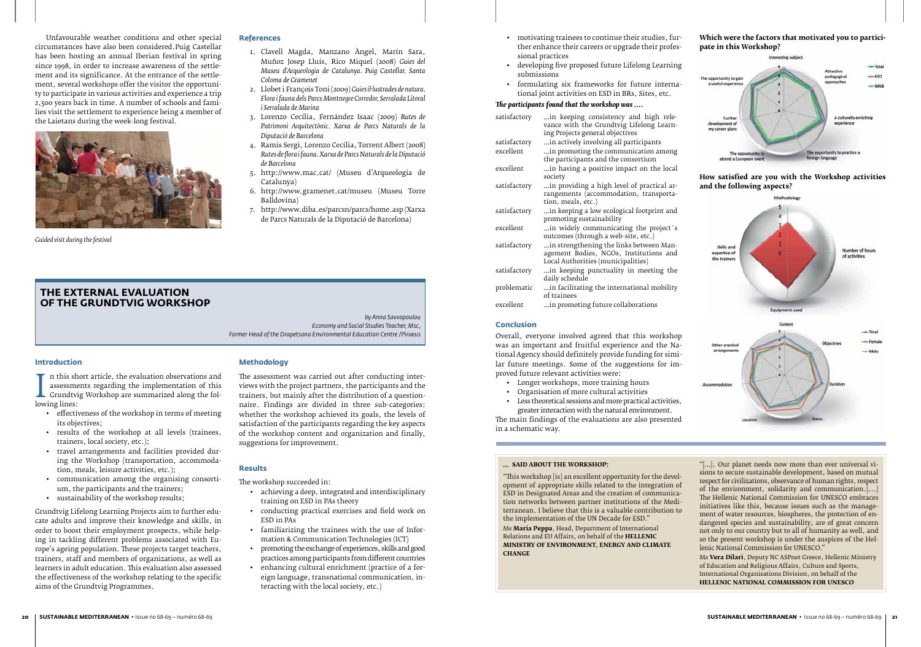Unfavourable weather conditions and other special circumstances have also been considered.Puig Castellar has been hosting an annual Iberian festival in spring since 1998, in order to increase awareness of the settlement and its significance. At the entrance of the settlement, several workshops offer the visitor the opportunity to participate in various activities and experience a trip 2,500 years back in time. A number of schools and families visit the settlement to experience being a member of the Laietans during the week-long festival.



*Guided visit during the festival*

#### **Introduction**

n this short article, the evaluation observations and assessments regarding the implementation of this

**L** assessme<br>
Grundtvi<br>
lowing lines:<br> **e** effective **L** Grundtvig Workshop are summarized along the fol-

- • effectiveness of the workshop in terms of meeting its objectives;
- results of the workshop at all levels (trainees, trainers, local society, etc.);
- • travel arrangements and facilities provided during the Workshop (transportation, accommodation, meals, leisure activities, etc.);
- • communication among the organising consortium, the participants and the trainers;
- • sustainability of the workshop results;

Grundtvig Lifelong Learning Projects aim to further educate adults and improve their knowledge and skills, in order to boost their employment prospects, while helping in tackling different problems associated with Europe's ageing population. These projects target teachers, trainers, staff and members of organizations, as well as learners in adult education. This evaluation also assessed the effectiveness of the workshop relating to the specific aims of the Grundtvig Programmes.

# **References**

- 1. Clavell Magda, Manzano Àngel, Marín Sara, Muñoz Josep Lluís, Rico Miquel (2008) *Guies del Museu d'Arqueologia de Catalunya. Puig Castellar. Santa Coloma de Gramenet*
- 2. Llobet i François Toni (2009) *Guies il·lustrades de natura. Flora i fauna dels Parcs Montnegre Corredor, Serralada Litoral i Serralada de Marina*
- 3. Lorenzo Cecília, Fernández Isaac (2009) *Rutes de Patrimoni Arquitectònic. Xarxa de Parcs Naturals de la Diputació de Barcelona*
- 4. Ramis Sergi, Lorenzo Cecília, Torrent Albert (2008) *Rutes de flora i fauna. Xarxa de Parcs Naturals de la Diputació de Barcelona*
- 5. http://www.mac.cat/ (Museu d'Arqueologia de Catalunya)
- 6. http://www.gramenet.cat/museu (Museu Torre Balldovina)
- 7. http://www.diba.es/parcsn/parcs/home.asp (Xarxa de Parcs Naturals de la Diputació de Barcelona)

# **the external evaluation of the Grundtvig Workshop**

*by Anna Savvopoulou Economy and Social Studies Teacher, Msc, Former Head of the Drapetsona Environmental Education Centre /Piraeus*

- • motivating trainees to continue their studies, further enhance their careers or upgrade their professional practices
- • developing five proposed future Lifelong Learning submissions
- • formulating six frameworks for future international joint activities on ESD in BRs, Sites, etc.

# *The participants found that the workshop was ….*

| satisfactory | in keeping consistency and high rele-<br>vance with the Grundtvig Lifelong Learn-<br>ing Projects general objectives    |
|--------------|-------------------------------------------------------------------------------------------------------------------------|
| satisfactory | in actively involving all participants                                                                                  |
| excellent    | in promoting the communication among<br>the participants and the consortium                                             |
| excellent    | in having a positive impact on the local<br>society                                                                     |
| satisfactory | in providing a high level of practical ar-<br>rangements (accommodation, transporta-<br>tion, meals, etc.)              |
| satisfactory | in keeping a low ecological footprint and<br>promoting sustainability                                                   |
| excellent    | in widely communicating the project`s<br>outcomes (through a web-site, etc.)                                            |
| satisfactory | in strengthening the links between Man-<br>agement Bodies, NGOs, Institutions and<br>Local Authorities (municipalities) |
| satisfactory | in keeping punctuality in meeting the<br>daily schedule                                                                 |
| problematic  | in facilitating the international mobility<br>of trainees                                                               |
| excellent    | in promoting future collaborations                                                                                      |

# **Conclusion**

Overall, everyone involved agreed that this workshop was an important and fruitful experience and the National Agency should definitely provide funding for similar future meetings. Some of the suggestions for improved future relevant activities were:

- • Longer workshops, more training hours
- • Organisation of more cultural activities
- Less theoretical sessions and more practical activities, greater interaction with the natural environment.

The main findings of the evaluations are also presented in a schematic way.

# **Methodology**

The assessment was carried out after conducting interviews with the project partners, the participants and the trainers, but mainly after the distribution of a questionnaire. Findings are divided in three sub-categories: whether the workshop achieved its goals, the levels of satisfaction of the participants regarding the key aspects of the workshop content and organization and finally, suggestions for improvement.

# **Results**

The workshop succeeded in:

- • achieving a deep, integrated and interdisciplinary training on ESD in PAs theory
- • conducting practical exercises and field work on ESD in PAs
- • familiarizing the trainees with the use of Information & Communication Technologies (ICT)
- promoting the exchange of experiences, skills and good practices among participants from different countries
- • enhancing cultural enrichment (practice of a foreign language, transnational communication, interacting with the local society, etc.)

# **… Said About The Workshop:**

"This workshop [is] an excellent opportunity for the development of appropriate skills related to the integration of ESD in Designated Areas and the creation of communication networks between partner institutions of the Mediterranean. I believe that this is a valuable contribution to the implementation of the UN Decade for ESD."

Ms **Maria Peppa**, Head, Department of International Relations and EU Affairs, on behalf of the **HELLENIC MINISTRY OF ENVIRONMENT, ENERGY AND CLIMATE CHANGE**

"[…]. Our planet needs now more than ever universal visions to secure sustainable development, based on mutual respect for civilizations, observance of human rights, respect of the environment, solidarity and communication.[...] The Hellenic National Commission for UNESCO embraces initiatives like this, because issues such as the management of water resources, biospheres, the protection of endangered species and sustainability, are of great concern not only to our country but to all of humanity as well, and so the present workshop is under the auspices of the Hellenic National Commission for UNESCO."

Ms **Vera Dilari**, Deputy NC ASPnet Greece, Hellenic Ministry of Education and Religious Affairs, Culture and Sports, International Organisations Division, on behalf of the **HELLENIC NATIONAL COMMISSION FOR UNESCO**





# **How satisfied are you with the Workshop activities and the following aspects?**

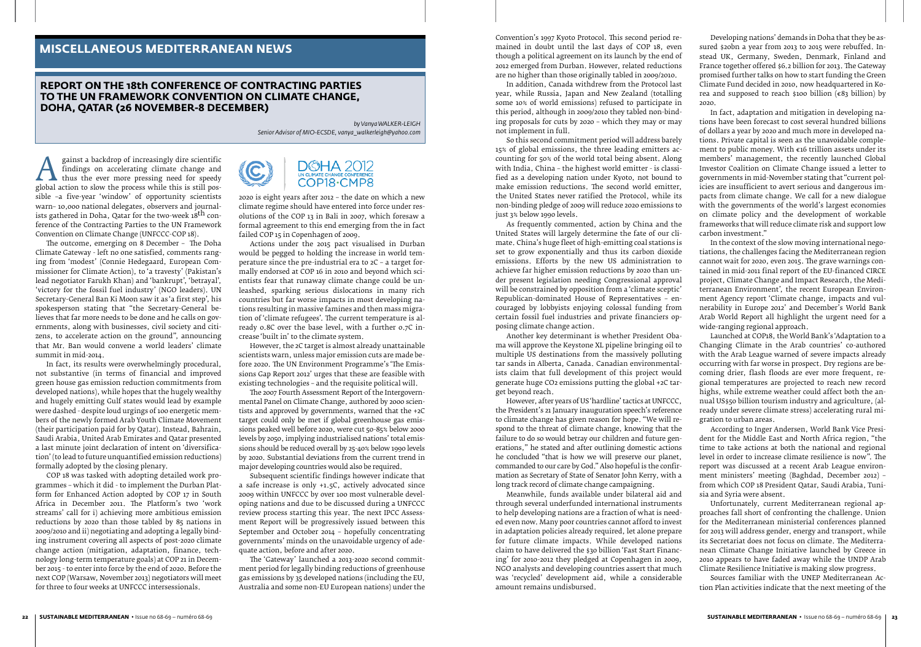Fainst a backdrop of increasingly differentiate<br>findings on accelerating climate change and<br>global action to slow the process while this is still pos-<br>sible -a five-vear 'window' of opportunity scientists findings on accelerating climate change and thus the ever more pressing need for speedy global action to slow the process while this is still possible –a five-year 'window' of opportunity scientists warn– 10,000 national delegates, observers and journalists gathered in Doha, Qatar for the two-week 18<sup>th</sup> conference of the Contracting Parties to the UN Framework Convention on Climate Change (UNFCCC-COP 18).

The outcome, emerging on 8 December – The Doha Climate Gateway - left no one satisfied, comments ranging from 'modest' (Connie Hedegaard, European Commissioner for Climate Action), to 'a travesty' (Pakistan's lead negotiator Farukh Khan) and 'bankrupt', 'betrayal', 'victory for the fossil fuel industry' (NGO leaders). UN Secretary-General Ban Ki Moon saw it as 'a first step', his spokesperson stating that "the Secretary-General believes that far more needs to be done and he calls on governments, along with businesses, civil society and citizens, to accelerate action on the ground", announcing that Mr. Ban would convene a world leaders' climate summit in mid-2014.

2020 is eight years after 2012 – the date on which a new climate regime should have entered into force under resolutions of the COP 13 in Bali in 2007, which foresaw a formal agreement to this end emerging from the in fact failed COP 15 in Copenhagen of 2009.

In fact, its results were overwhelmingly procedural, not substantive (in terms of financial and improved green house gas emission reduction commitments from developed nations), while hopes that the hugely wealthy and hugely emitting Gulf states would lead by example were dashed - despite loud urgings of 100 energetic members of the newly formed Arab Youth Climate Movement (their participation paid for by Qatar). Instead, Bahrain, Saudi Arabia, United Arab Emirates and Qatar presented a last minute joint declaration of intent on 'diversification' (to lead to future unquantified emission reductions) formally adopted by the closing plenary.

COP 18 was tasked with adopting detailed work programmes – which it did - to implement the Durban Platform for Enhanced Action adopted by COP 17 in South Africa in December 2011. The Platform's two 'work streams' call for i) achieving more ambitious emission reductions by 2020 than those tabled by 85 nations in 2009/2010 and ii) negotiating and adopting a legally binding instrument covering all aspects of post-2020 climate change action (mitigation, adaptation, finance, technology long-term temperature goals) at COP 21 in December 2015 - to enter into force by the end of 2020. Before the next COP (Warsaw, November 2013) negotiators will meet for three to four weeks at UNFCCC intersessionals.

DOHA 2012

Actions under the 2015 pact visualised in Durban would be pegged to holding the increase in world temperature since the pre-industrial era to 2C – a target formally endorsed at COP 16 in 2010 and beyond which scientists fear that runaway climate change could be unleashed, sparking serious dislocations in many rich countries but far worse impacts in most developing nations resulting in massive famines and then mass migration of 'climate refugees'. The current temperature is already 0.8C over the base level, with a further 0.7C increase 'built in' to the climate system.

However, the 2C target is almost already unattainable scientists warn, unless major emission cuts are made before 2020. The UN Environment Programme's 'The Emissions Gap Report 2012' urges that these are feasible with existing technologies – and the requisite political will.

The 2007 Fourth Assessment Report of the Intergovernmental Panel on Climate Change, authored by 2000 scientists and approved by governments, warned that the +2C target could only be met if global greenhouse gas emissions peaked well before 2020, were cut 50-85% below 2000 levels by 2050, implying industrialised nations' total emissions should be reduced overall by 25-40% below 1990 levels by 2020. Substantial deviations from the current trend in major developing countries would also be required.

Subsequent scientific findings however indicate that a safe increase is only +1.5C, actively advocated since 2009 within UNFCCC by over 100 most vulnerable developing nations and due to be discussed during a UNFCCC review process starting this year. The next IPCC Assessment Report will be progressively issued between this September and October 2014 – hopefully concentrating governments' minds on the unavoidable urgency of adequate action, before and after 2020.

The 'Gateway' launched a 2013-2020 second commitment period for legally binding reductions of greenhouse gas emissions by 35 developed nations (including the EU, Australia and some non-EU European nations) under the

Convention's 1997 Kyoto Protocol. This second period remained in doubt until the last days of COP 18, even though a political agreement on its launch by the end of 2012 emerged from Durban. However, related reductions are no higher than those originally tabled in 2009/2010.

In addition, Canada withdrew from the Protocol last year, while Russia, Japan and New Zealand (totalling some 10% of world emissions) refused to participate in this period, although in 2009/2010 they tabled non-binding proposals for cuts by 2020 – which they may or may not implement in full.

So this second commitment period will address barely 15% of global emissions, the three leading emitters accounting for 50% of the world total being absent. Along with India, China – the highest world emitter - is classified as a developing nation under Kyoto, not bound to make emission reductions. The second world emitter, the United States never ratified the Protocol, while its non-binding pledge of 2009 will reduce 2020 emissions to just 3% below 1990 levels.

As frequently commented, action by China and the United States will largely determine the fate of our climate. China's huge fleet of high-emitting coal stations is set to grow exponentially and thus its carbon dioxide emissions. Efforts by the new US administration to achieve far higher emission reductions by 2020 than under present legislation needing Congressional approval will be constrained by opposition from a 'climate sceptic' Republican-dominated House of Representatives – encouraged by lobbyists enjoying colossal funding from certain fossil fuel industries and private financiers opposing climate change action.

Another key determinant is whether President Obama will approve the Keystone XL pipeline bringing oil to multiple US destinations from the massively polluting tar sands in Alberta, Canada. Canadian environmentalists claim that full development of this project would generate huge CO2 emissions putting the global +2C target beyond reach.

However, after years of US 'hardline' tactics at UNFCCC, the President's 21 January inauguration speech's reference to climate change has given reason for hope. "We will respond to the threat of climate change, knowing that the failure to do so would betray our children and future generations," he stated and after outlining domestic actions he concluded "that is how we will preserve our planet, commanded to our care by God." Also hopeful is the confirmation as Secretary of State of Senator John Kerry, with a long track record of climate change campaigning.

Meanwhile, funds available under bilateral aid and through several underfunded international instruments to help developing nations are a fraction of what is needed even now. Many poor countries cannot afford to invest in adaptation policies already required, let alone prepare for future climate impacts. While developed nations claim to have delivered the \$30 billion 'Fast Start Financing' for 2010-2012 they pledged at Copenhagen in 2009, NGO analysts and developing countries assert that much was 'recycled' development aid, while a considerable amount remains undisbursed.

Developing nations' demands in Doha that they be assured \$20bn a year from 2013 to 2015 were rebuffed. Instead UK, Germany, Sweden, Denmark, Finland and France together offered \$6.2 billion for 2013. The Gateway promised further talks on how to start funding the Green Climate Fund decided in 2010, now headquartered in Korea and supposed to reach \$100 billion ( $\epsilon$ 83 billion) by 2020.

In fact, adaptation and mitigation in developing nations have been forecast to cost several hundred billions of dollars a year by 2020 and much more in developed nations. Private capital is seen as the unavoidable complement to public money. With €16 trillion assets under its members' management, the recently launched Global Investor Coalition on Climate Change issued a letter to governments in mid-November stating that "current policies are insufficient to avert serious and dangerous impacts from climate change. We call for a new dialogue with the governments of the world's largest economies on climate policy and the development of workable frameworks that will reduce climate risk and support low carbon investment."

In the context of the slow moving international negotiations, the challenges facing the Mediterranean region cannot wait for 2020, even 2015. The grave warnings contained in mid-2011 final report of the EU-financed CIRCE project, Climate Change and Impact Research, the Mediterranean Environment', the recent European Environment Agency report 'Climate change, impacts and vulnerability in Europe 2012' and December's World Bank Arab World Report all highlight the urgent need for a wide-ranging regional approach.

Launched at COP18, the World Bank's 'Adaptation to a Changing Climate in the Arab countries' co-authored with the Arab League warned of severe impacts already occurring with far worse in prospect. Dry regions are becoming drier, flash floods are ever more frequent, regional temperatures are projected to reach new record highs, while extreme weather could affect both the annual US\$50 billion tourism industry and agriculture, (already under severe climate stress) accelerating rural migration to urban areas.

According to Inger Andersen, World Bank Vice President for the Middle East and North Africa region, "the time to take actions at both the national and regional level in order to increase climate resilience is now". The report was discussed at a recent Arab League environment ministers' meeting (Baghdad, December 2012) – from which COP 18 President Qatar, Saudi Arabia, Tunisia and Syria were absent.

Unfortunately, current Mediterranean regional approaches fall short of confronting the challenge. Union for the Mediterranean ministerial conferences planned for 2013 will address gender, energy and transport, while its Secretariat does not focus on climate. The Mediterranean Climate Change Initiative launched by Greece in 2010 appears to have faded away while the UNDP Arab Climate Resilience Initiative is making slow progress.

Sources familiar with the UNEP Mediterranean Action Plan activities indicate that the next meeting of the

# **REPORT ON THE 18th CONFERENCE OF CONTRACTING PARTIES TO THE UN FRAMEWORK CONVENTION ON CLIMATE CHANGE, DOHA, QATAR (26 NOVEMBER-8 DECEMBER)**

*by Vanya WALKER-LEIGH Senior Advisor of MIO-ECSDE, vanya\_walkerleigh@yahoo.com*

# **MISCELLANEOUS MEDITERRANEAN NEWS**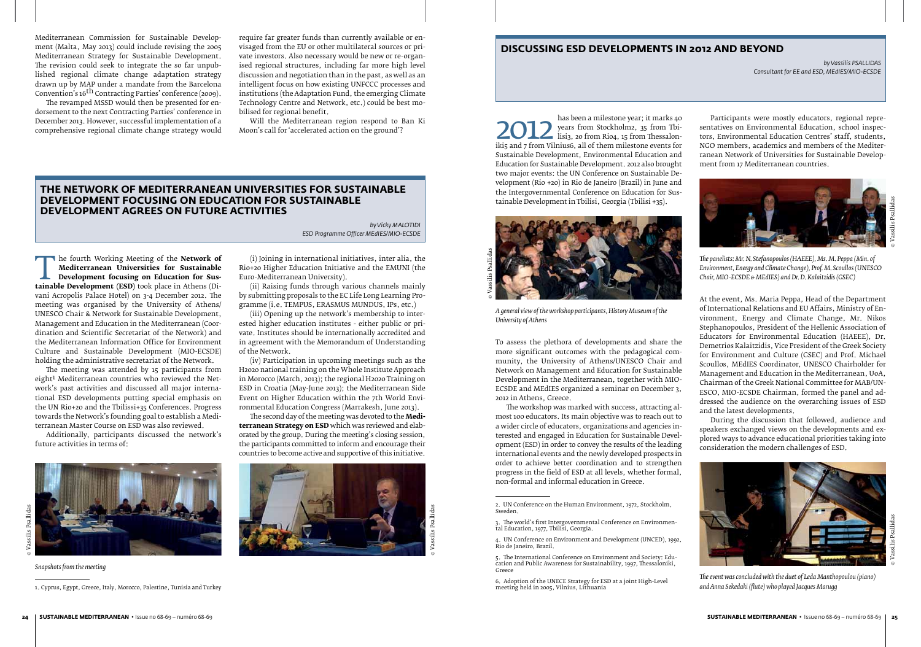#### **24 SUSTAINABLE MEDITERRANEAN** • Issue no 68-69 – numéro 68-69 **SUSTAINABLE MEDITERRANEAN** • Issue no 68-69 – numéro 68-69 **25**

Mediterranean Commission for Sustainable Development (Malta, May 2013) could include revising the 2005 Mediterranean Strategy for Sustainable Development. The revision could seek to integrate the so far unpublished regional climate change adaptation strategy drawn up by MAP under a mandate from the Barcelona Convention's 16<sup>th</sup> Contracting Parties' conference (2009).

The revamped MSSD would then be presented for endorsement to the next Contracting Parties' conference in December 2013. However, successful implementation of a comprehensive regional climate change strategy would

require far greater funds than currently available or envisaged from the EU or other multilateral sources or private investors. Also necessary would be new or re-organised regional structures, including far more high level discussion and negotiation than in the past, as well as an intelligent focus on how existing UNFCCC processes and institutions (the Adaptation Fund, the emerging Climate Technology Centre and Network, etc.) could be best mobilised for regional benefit.

**THE FOULTH WORKING Meeting of the Network of Mediterranean Universities for Sustainable Development focusing on Education for Sustainable Development (ESD) took place in Athens (Di-<br>vani Acronolis Palace Hotel) on 2-4 Dec Mediterranean Universities for Sustainable Development focusing on Education for Sus**vani Acropolis Palace Hotel) on 3-4 December 2012. The meeting was organised by the University of Athens/ UNESCO Chair & Network for Sustainable Development, Management and Education in the Mediterranean (Coordination and Scientific Secretariat of the Network) and the Mediterranean Information Office for Environment Culture and Sustainable Development (MIO-ECSDE) holding the administrative secretariat of the Network.

Will the Mediterranean region respond to Ban Ki Moon's call for 'accelerated action on the ground'?

The meeting was attended by 15 participants from eight<sup>1</sup> Mediterranean countries who reviewed the Network's past activities and discussed all major international ESD developments putting special emphasis on the UN Rio+20 and the Tbilissi+35 Conferences. Progress towards the Network's founding goal to establish a Mediterranean Master Course on ESD was also reviewed.

2012 Juan Been a milestone year, it marks 40<br>lisig, 20 from Stockholm2, 35 from Tbi-<br>iki5 and 7 from Vilnius6, all of them milestone events for<br>Sustainable Development Environmental Education and years from Stockholm2, 35 from Tbilisi3, 20 from Rio4, 15 from Thessalon-Sustainable Development, Environmental Education and Education for Sustainable Development. 2012 also brought two major events: the UN Conference on Sustainable Development (Rio +20) in Rio de Janeiro (Brazil) in June and the Intergovernmental Conference on Education for Sustainable Development in Tbilisi, Georgia (Tbilisi +35).

Additionally, participants discussed the network's future activities in terms of:

*Snapshots from the meeting*

1. Cyprus, Egypt, Greece, Italy, Morocco, Palestine, Tunisia and Turkey

(i) Joining in international initiatives, inter alia, the Rio+20 Higher Education Initiative and the EMUNI (the Euro-Mediterranean University).

(ii) Raising funds through various channels mainly by submitting proposals to the EC Life Long Learning Programme (i.e. TEMPUS, ERASMUS MUNDUS, IPs, etc.)

(iii) Opening up the network's membership to interested higher education institutes - either public or private. Institutes should be internationally accredited and in agreement with the Memorandum of Understanding of the Network.

(iv) Participation in upcoming meetings such as the H2020 national training on the Whole Institute Approach in Morocco (March, 2013); the regional H2020 Training on ESD in Croatia (May-June 2013); the Mediterranean Side Event on Higher Education within the 7th World Environmental Education Congress (Marrakesh, June 2013).

The second day of the meeting was devoted to the **Mediterranean Strategy on ESD** which was reviewed and elaborated by the group. During the meeting's closing session, the participants committed to inform and encourage their countries to become active and supportive of this initiative.



# **The Network of Mediterranean Universities for Sustainable Development focusing on Education for Sustainable Development agrees on future activities**

*by Vicky MALOTIDI ESD Programme Officer MEdIES/MIO-ECSDE*

# **DISCUSSING ESD DEVELOPMENTS IN 2012 AND BEYOND**

*by Vassilis PSALLIDAS Consultant for EE and ESD, MEdIES/MIO-ECSDE*

To assess the plethora of developments and share the more significant outcomes with the pedagogical community, the University of Athens/UNESCO Chair and Network on Management and Education for Sustainable Development in the Mediterranean, together with MIO-ECSDE and MEdIES organized a seminar on December 3, 2012 in Athens, Greece.

The workshop was marked with success, attracting almost 100 educators. Its main objective was to reach out to a wider circle of educators, organizations and agencies interested and engaged in Education for Sustainable Development (ESD) in order to convey the results of the leading international events and the newly developed prospects in order to achieve better coordination and to strengthen progress in the field of ESD at all levels, whether formal, non-formal and informal education in Greece.



*A general view of the workshop participants, History Museum of the University of Athens*

Participants were mostly educators, regional representatives on Environmental Education, school inspectors, Environmental Education Centres' staff, students, NGO members, academics and members of the Mediterranean Network of Universities for Sustainable Development from 17 Mediterranean countries.

*The panelists: Mr. N. Stefanopoulos (HAEEE), Ms. M. Peppa (Min. of Environment, Energy and Climate Change), Prof. M. Scoullos (UNESCO Chair, MIO-ECSDE & MEdIES) and Dr. D. Kalaitzidis (GSEC)*

At the event, Ms. Maria Peppa, Head of the Department of International Relations and EU Affairs, Ministry of Environment, Energy and Climate Change, Mr. Nikos Stephanopoulos, President of the Hellenic Association of Educators for Environmental Education (HAEEE), Dr. Demetrios Kalaitzidis, Vice President of the Greek Society for Environment and Culture (GSEC) and Prof. Michael Scoullos, MEdIES Coordinator, UNESCO Chairholder for Management and Education in the Mediterranean, UoA, Chairman of the Greek National Committee for MAB/UN-ESCO, MIO-ECSDE Chairman, formed the panel and addressed the audience on the overarching issues of ESD and the latest developments.

During the discussion that followed, audience and speakers exchanged views on the developments and explored ways to advance educational priorities taking into consideration the modern challenges of ESD.

*The event was concluded with the duet of Leda Manthopoulou (piano) and Anna Sekedaki (flute) who played Jacques Marugg*





© Vassilis Psallidas



<sup>2.</sup> UN Conference on the Human Environment, 1972, Stockholm, Sweden.

<sup>3.</sup> The world's first Intergovernmental Conference on Environmental Education, 1977, Tbilisi, Georgia.

<sup>4.</sup> UN Conference on Environment and Development (UNCED), 1992, Rio de Janeiro, Brazil.

<sup>5.</sup> The International Conference on Environment and Society: Education and Public Awareness for Sustainability, 1997, Thessaloniki, Greece

<sup>6.</sup> Adoption of the UNECE Strategy for ESD at a joint High-Level meeting held in 2005, Vilnius, Lithuania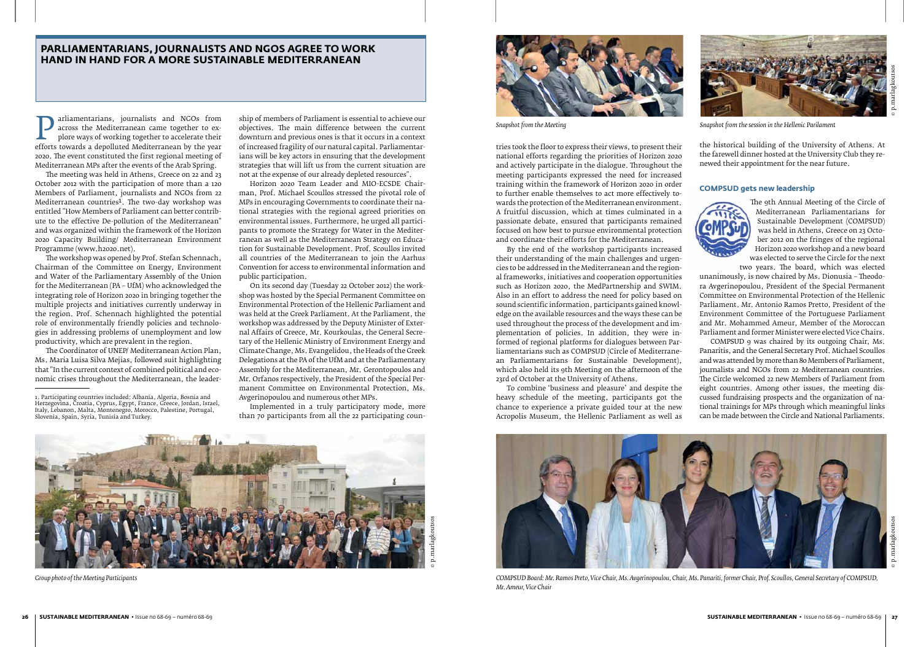Frame and NGOs from across the Mediterranean came together to explore ways of working together to accelerate their<br>efforts towards a depolluted Mediterranean by the year<br>2020. The event constituted the first regional meeti across the Mediterranean came together to explore ways of working together to accelerate their 2020. The event constituted the first regional meeting of Mediterranean MPs after the events of the Arab Spring.

The meeting was held in Athens, Greece on 22 and 23 October 2012 with the participation of more than a 120 Members of Parliament, journalists and NGOs from 22 Mediterranean countries<sup>1</sup>. The two-day workshop was entitled "How Members of Parliament can better contribute to the effective De-pollution of the Mediterranean" and was organized within the framework of the Horizon 2020 Capacity Building/ Mediterranean Environment Programme (www.h2020.net).

The workshop was opened by Prof. Stefan Schennach, Chairman of the Committee on Energy, Environment and Water of the Parliamentary Assembly of the Union for the Mediterranean (PA – UfM) who acknowledged the integrating role of Horizon 2020 in bringing together the multiple projects and initiatives currently underway in the region. Prof. Schennach highlighted the potential role of environmentally friendly policies and technologies in addressing problems of unemployment and low productivity, which are prevalent in the region.

The Coordinator of UNEP/ Mediterranean Action Plan, Ms. Maria Luisa Silva Mejias, followed suit highlighting that "In the current context of combined political and economic crises throughout the Mediterranean, the leader-

ship of members of Parliament is essential to achieve our objectives. The main difference between the current downturn and previous ones is that it occurs in a context of increased fragility of our natural capital. Parliamentarians will be key actors in ensuring that the development strategies that will lift us from the current situation are not at the expense of our already depleted resources".

Horizon 2020 Team Leader and MIO-ECSDE Chairman, Prof. Michael Scoullos stressed the pivotal role of MPs in encouraging Governments to coordinate their national strategies with the regional agreed priorities on environmental issues. Furthermore, he urged all participants to promote the Strategy for Water in the Mediterranean as well as the Mediterranean Strategy on Education for Sustainable Development. Prof. Scoullos invited all countries of the Mediterranean to join the Aarhus Convention for access to environmental information and public participation.

The 9th Annual Meeting of the Circle of<br>Mediterranean Parliamentarians for Mediterranean Parliamentarians for Sustainable Development (COMPSUD) was held in Athens, Greece on 23 October 2012 on the fringes of the regional Horizon 2020 workshop and a new board was elected to serve the Circle for the next

On its second day (Tuesday 22 October 2012) the workshop was hosted by the Special Permanent Committee on Environmental Protection of the Hellenic Parliament and was held at the Greek Parliament. At the Parliament, the workshop was addressed by the Deputy Minister of External Affairs of Greece, Mr. Kourkoulas, the General Secretary of the Hellenic Ministry of Environment Energy and Climate Change, Ms. Evangelidou, the Heads of the Greek Delegations at the PA of the UfM and at the Parliamentary Assembly for the Mediterranean, Mr. Gerontopoulos and Mr. Orfanos respectively, the President of the Special Permanent Committee on Environmental Protection, Ms. Avgerinopoulou and numerous other MPs.

Implemented in a truly participatory mode, more than 70 participants from all the 22 participating coun-

# **Parliamentarians, journalists and NGOs agree to work hand in hand for a more sustainable Mediterranean**

tries took the floor to express their views, to present their national efforts regarding the priorities of Horizon 2020 and actively participate in the dialogue. Throughout the meeting participants expressed the need for increased training within the framework of Horizon 2020 in order to further enable themselves to act more effectively towards the protection of the Mediterranean environment. A fruitful discussion, which at times culminated in a passionate debate, ensured that participants remained focused on how best to pursue environmental protection and coordinate their efforts for the Mediterranean.

By the end of the workshop participants increased their understanding of the main challenges and urgencies to be addressed in the Mediterranean and the regional frameworks, initiatives and cooperation opportunities such as Horizon 2020, the MedPartnership and SWIM. Also in an effort to address the need for policy based on sound scientific information, participants gained knowledge on the available resources and the ways these can be used throughout the process of the development and implementation of policies. In addition, they were informed of regional platforms for dialogues between Parliamentarians such as COMPSUD (Circle of Mediterranean Parliamentarians for Sustainable Development), which also held its 9th Meeting on the afternoon of the 23rd of October at the University of Athens.

To combine 'business and pleasure' and despite the heavy schedule of the meeting, participants got the chance to experience a private guided tour at the new Acropolis Museum, the Hellenic Parliament as well as

the historical building of the University of Athens. At the farewell dinner hosted at the University Club they renewed their appointment for the near future.

# **COMPSUD gets new leadership**

two years. The board, which was elected unanimously, is now chaired by Ms. Dionusia – Theodora Avgerinopoulou, President of the Special Permanent Committee on Environmental Protection of the Hellenic Parliament. Mr. Antonio Ramos Pretto, President of the Environment Committee of the Portuguese Parliament and Mr. Mohammed Ameur, Member of the Moroccan Parliament and former Minister were elected Vice Chairs.

COMPSUD 9 was chaired by its outgoing Chair, Ms. Panaritis, and the General Secretary Prof. Michael Scoullos and was attended by more than 80 Members of Parliament, journalists and NGOs from 22 Mediterranean countries. The Circle welcomed 22 new Members of Parliament from eight countries. Among other issues, the meeting discussed fundraising prospects and the organization of national trainings for MPs through which meaningful links can be made between the Circle and National Parliaments.



*COMPSUD Board: Mr. Ramos Preto, Vice Chair, Ms. Avgerinopoulou, Chair, Ms. Panariti, former Chair, Prof. Scoullos, General Secretary of COMPSUD, Mr. Ameur, Vice Chair*



*Group photo of the Meeting Participants*



*Snapshot from the Meeting Snapshot from the session in the Hellenic Parilament*



© p.marlagkoutsos © p.marlagkoutsos

<sup>1.</sup> Participating countries included: Albania, Algeria, Bosnia and Herzegovina, Croatia, Cyprus, Egypt, France, Greece, Jordan, Israel, Italy, Lebanon, Malta, Montenegro, Morocco, Palestine, Portugal, Slovenia, Spain, Syria, Tunisia and Turkey.